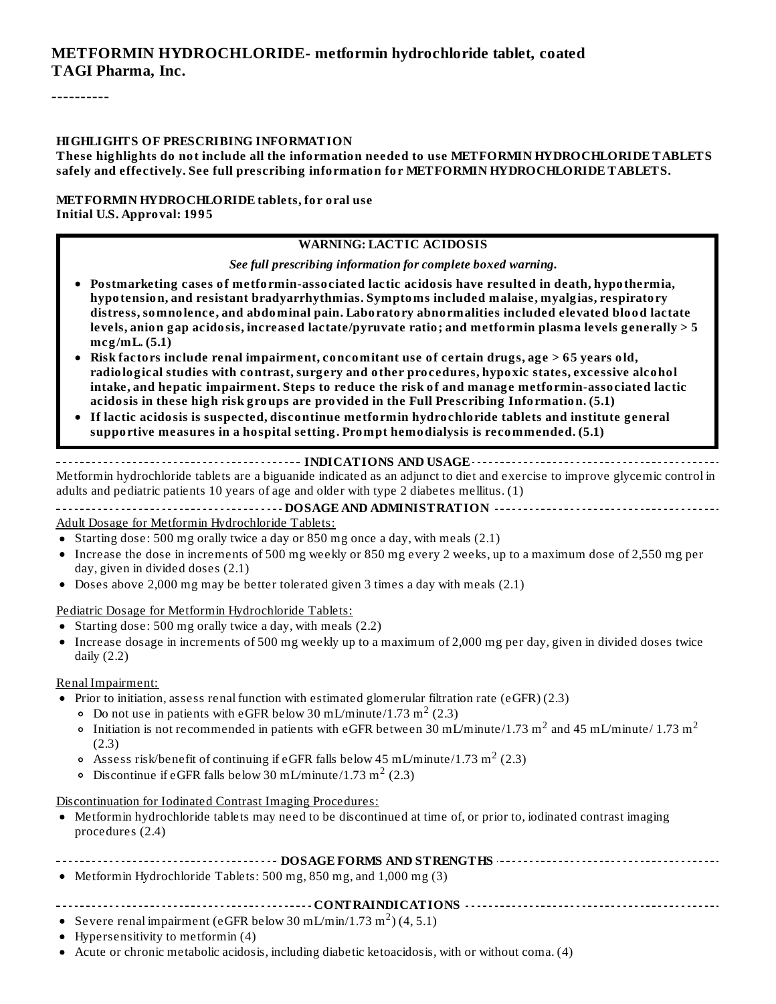## **METFORMIN HYDROCHLORIDE- metformin hydrochloride tablet, coated TAGI Pharma, Inc.**

----------

#### **HIGHLIGHTS OF PRESCRIBING INFORMATION**

**These highlights do not include all the information needed to use METFORMIN HYDROCHLORIDE TABLETS safely and effectively. See full prescribing information for METFORMIN HYDROCHLORIDE TABLETS.**

#### **METFORMIN HYDROCHLORIDE tablets, for oral use Initial U.S. Approval: 1995**

#### **WARNING: LACTIC ACIDOSIS**

*See full prescribing information for complete boxed warning.*

- **Postmarketing cases of metformin-associated lactic acidosis have resulted in death, hypothermia, hypotension, and resistant bradyarrhythmias. Symptoms included malaise, myalgias, respiratory distress, somnolence, and abdominal pain. Laboratory abnormalities included elevated blood lactate levels, anion gap acidosis, increased lactate/pyruvate ratio; and metformin plasma levels generally > 5 mcg/mL. (5.1)**
- **Risk factors include renal impairment, concomitant use of certain drugs, age > 65 years old, radiological studies with contrast, surgery and other procedures, hypoxic states, excessive alcohol intake, and hepatic impairment. Steps to reduce the risk of and manage metformin-associated lactic acidosis in these high risk groups are provided in the Full Prescribing Information. (5.1)**
- **If lactic acidosis is suspected, discontinue metformin hydrochloride tablets and institute general supportive measures in a hospital setting. Prompt hemodialysis is recommended. (5.1)**

#### **INDICATIONS AND USAGE**

Metformin hydrochloride tablets are a biguanide indicated as an adjunct to diet and exercise to improve glycemic control in adults and pediatric patients 10 years of age and older with type 2 diabetes mellitus. (1)

#### **DOSAGE AND ADMINISTRATION**

Adult Dosage for Metformin Hydrochloride Tablets:

- Starting dose: 500 mg orally twice a day or 850 mg once a day, with meals  $(2.1)$
- Increase the dose in increments of 500 mg weekly or 850 mg every 2 weeks, up to a maximum dose of 2,550 mg per day, given in divided doses (2.1)
- Doses above 2,000 mg may be better tolerated given 3 times a day with meals (2.1)

Pediatric Dosage for Metformin Hydrochloride Tablets:

- Starting dose: 500 mg orally twice a day, with meals (2.2)
- Increase dosage in increments of 500 mg weekly up to a maximum of 2,000 mg per day, given in divided doses twice daily (2.2)

#### Renal Impairment:

- Prior to initiation, assess renal function with estimated glomerular filtration rate (eGFR) (2.3)
	- Do not use in patients with eGFR below 30 mL/minute/1.73 m $^2$  (2.3)
	- Initiation is not recommended in patients with eGFR between 30 mL/minute/1.73 m<sup>2</sup> and 45 mL/minute/ 1.73 m<sup>2</sup> (2.3)
	- Assess risk/benefit of continuing if eGFR falls below 45 mL/minute/1.73 m<sup>2</sup> (2.3)
	- Discontinue if eGFR falls below 30 mL/minute/1.73 m<sup>2</sup> (2.3)

Discontinuation for Iodinated Contrast Imaging Procedures:

Metformin hydrochloride tablets may need to be discontinued at time of, or prior to, iodinated contrast imaging procedures (2.4)

| • Metformin Hydrochloride Tablets: 500 mg, 850 mg, and 1,000 mg (3) |
|---------------------------------------------------------------------|

#### **CONTRAINDICATIONS**

- Severe renal impairment (eGFR below 30 mL/min/1.73 m<sup>2</sup>)  $(4, 5.1)$
- Hypersensitivity to metformin (4)
- Acute or chronic metabolic acidosis, including diabetic ketoacidosis, with or without coma. (4)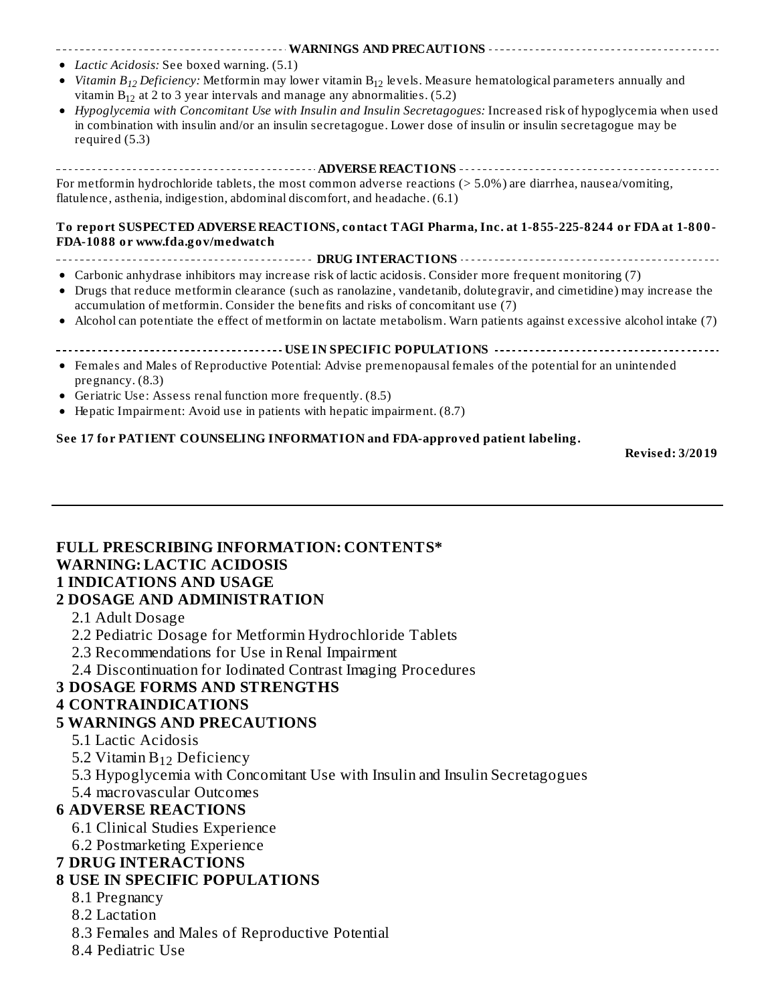#### **WARNINGS AND PRECAUTIONS** *Lactic Acidosis:* See boxed warning*.* (5.1) *Vitamin B<sub>12</sub> Deficiency: M*etformin may lower vitamin B<sub>12</sub> levels. Measure hematological parameters annually and vitamin  $B_{12}$  at 2 to 3 year intervals and manage any abnormalities. (5.2) *Hypoglycemia with Concomitant Use with Insulin and Insulin Secretagogues:* Increased risk of hypoglycemia when used in combination with insulin and/or an insulin secretagogue. Lower dose of insulin or insulin secretagogue may be required (5.3) **ADVERSE REACTIONS** For metformin hydrochloride tablets, the most common adverse reactions (> 5.0%) are diarrhea, nausea/vomiting, flatulence, asthenia, indigestion, abdominal discomfort, and headache. (6.1) **To report SUSPECTED ADVERSE REACTIONS, contact TAGI Pharma, Inc. at 1-855-225-8244 or FDA at 1-800- FDA-1088 or www.fda.gov/medwatch DRUG INTERACTIONS** Carbonic anhydrase inhibitors may increase risk of lactic acidosis. Consider more frequent monitoring (7) Drugs that reduce metformin clearance (such as ranolazine, vandetanib, dolutegravir, and cimetidine) may increase the  $\bullet$ accumulation of metformin. Consider the benefits and risks of concomitant use (7) Alcohol can potentiate the effect of metformin on lactate metabolism. Warn patients against excessive alcohol intake (7) **USE IN SPECIFIC POPULATIONS** Females and Males of Reproductive Potential: Advise premenopausal females of the potential for an unintended pregnancy. (8.3)

- Geriatric Use: Assess renal function more frequently. (8.5)
- Hepatic Impairment: Avoid use in patients with hepatic impairment. (8.7)

#### **See 17 for PATIENT COUNSELING INFORMATION and FDA-approved patient labeling.**

**Revised: 3/2019**

## **FULL PRESCRIBING INFORMATION: CONTENTS\* WARNING: LACTIC ACIDOSIS 1 INDICATIONS AND USAGE**

#### **2 DOSAGE AND ADMINISTRATION**

- 2.1 Adult Dosage
- 2.2 Pediatric Dosage for Metformin Hydrochloride Tablets
- 2.3 Recommendations for Use in Renal Impairment
- 2.4 Discontinuation for Iodinated Contrast Imaging Procedures

## **3 DOSAGE FORMS AND STRENGTHS**

#### **4 CONTRAINDICATIONS**

#### **5 WARNINGS AND PRECAUTIONS**

- 5.1 Lactic Acidosis
- 5.2 Vitamin  $B_{12}$  Deficiency
- 5.3 Hypoglycemia with Concomitant Use with Insulin and Insulin Secretagogues
- 5.4 macrovascular Outcomes

#### **6 ADVERSE REACTIONS**

- 6.1 Clinical Studies Experience
- 6.2 Postmarketing Experience

#### **7 DRUG INTERACTIONS**

#### **8 USE IN SPECIFIC POPULATIONS**

- 8.1 Pregnancy
- 8.2 Lactation
- 8.3 Females and Males of Reproductive Potential
- 8.4 Pediatric Use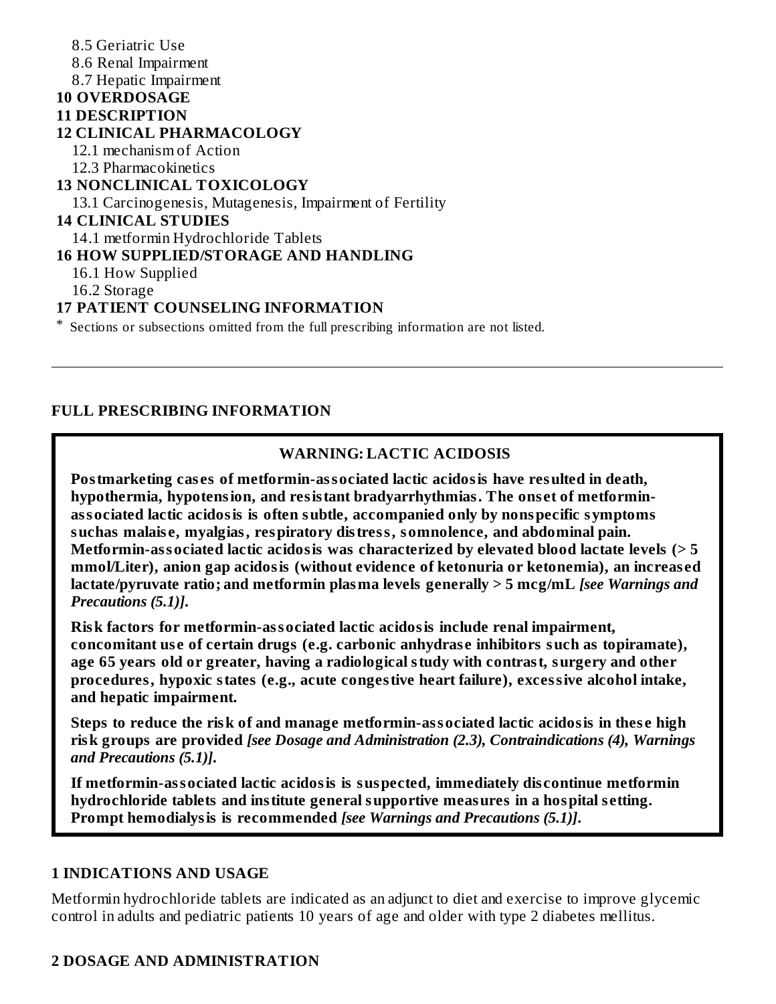8.5 Geriatric Use 8.6 Renal Impairment 8.7 Hepatic Impairment **10 OVERDOSAGE 11 DESCRIPTION 12 CLINICAL PHARMACOLOGY** 12.1 mechanism of Action 12.3 Pharmacokinetics **13 NONCLINICAL TOXICOLOGY** 13.1 Carcinogenesis, Mutagenesis, Impairment of Fertility **14 CLINICAL STUDIES** 14.1 metformin Hydrochloride Tablets **16 HOW SUPPLIED/STORAGE AND HANDLING** 16.1 How Supplied 16.2 Storage **17 PATIENT COUNSELING INFORMATION** \* Sections or subsections omitted from the full prescribing information are not listed.

### **FULL PRESCRIBING INFORMATION**

## **WARNING: LACTIC ACIDOSIS**

**Postmarketing cas es of metformin-associated lactic acidosis have resulted in death, hypothermia, hypotension, and resistant bradyarrhythmias. The ons et of metforminassociated lactic acidosis is often subtle, accompanied only by nonspecific symptoms suchas malais e, myalgias, respiratory distress, somnolence, and abdominal pain. Metformin-associated lactic acidosis was characterized by elevated blood lactate levels (> 5 mmol/Liter), anion gap acidosis (without evidence of ketonuria or ketonemia), an increas ed lactate/pyruvate ratio; and metformin plasma levels generally > 5 mcg/mL** *[see Warnings and Precautions (5.1)]***.**

**Risk factors for metformin-associated lactic acidosis include renal impairment, concomitant us e of certain drugs (e.g. carbonic anhydras e inhibitors such as topiramate), age 65 years old or greater, having a radiological study with contrast, surgery and other procedures, hypoxic states (e.g., acute congestive heart failure), excessive alcohol intake, and hepatic impairment.**

**Steps to reduce the risk of and manage metformin-associated lactic acidosis in thes e high risk groups are provided** *[see Dosage and Administration (2.3), Contraindications (4), Warnings and Precautions (5.1)]***.**

**If metformin-associated lactic acidosis is suspected, immediately dis continue metformin hydrochloride tablets and institute general supportive measures in a hospital s etting. Prompt hemodialysis is recommended** *[see Warnings and Precautions (5.1)]***.**

#### **1 INDICATIONS AND USAGE**

Metformin hydrochloride tablets are indicated as an adjunct to diet and exercise to improve glycemic control in adults and pediatric patients 10 years of age and older with type 2 diabetes mellitus.

#### **2 DOSAGE AND ADMINISTRATION**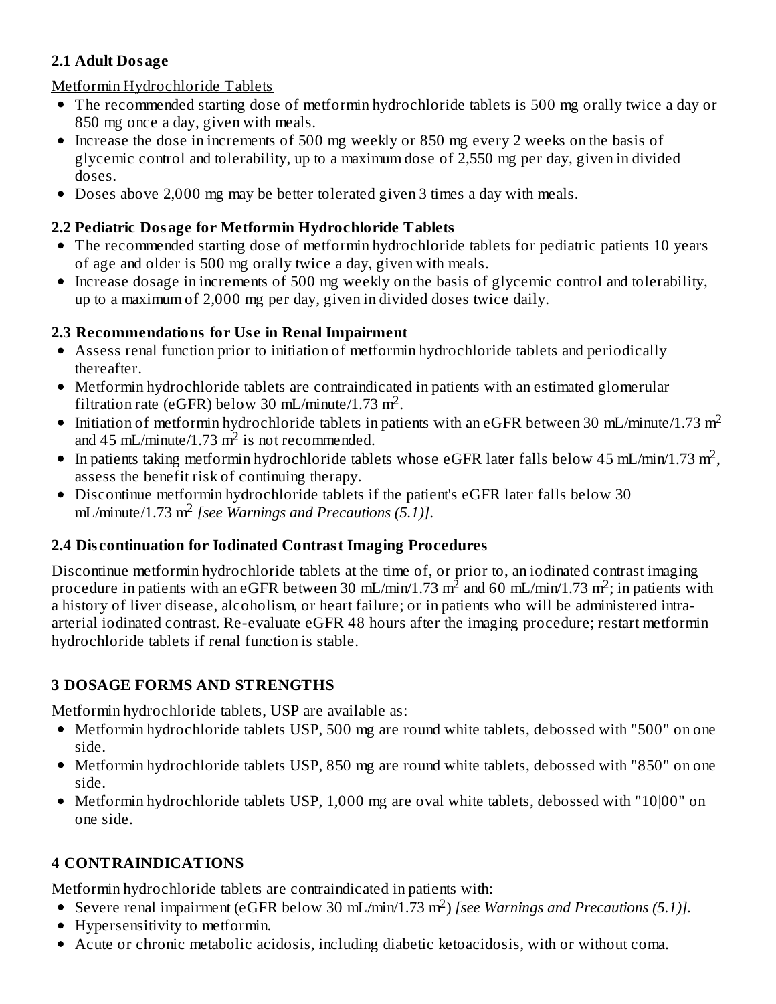## **2.1 Adult Dosage**

## Metformin Hydrochloride Tablets

- The recommended starting dose of metformin hydrochloride tablets is 500 mg orally twice a day or 850 mg once a day, given with meals.
- Increase the dose in increments of 500 mg weekly or 850 mg every 2 weeks on the basis of glycemic control and tolerability, up to a maximum dose of 2,550 mg per day, given in divided doses.
- Doses above 2,000 mg may be better tolerated given 3 times a day with meals.

## **2.2 Pediatric Dosage for Metformin Hydrochloride Tablets**

- The recommended starting dose of metformin hydrochloride tablets for pediatric patients 10 years of age and older is 500 mg orally twice a day, given with meals.
- Increase dosage in increments of 500 mg weekly on the basis of glycemic control and tolerability, up to a maximum of 2,000 mg per day, given in divided doses twice daily.

## **2.3 Recommendations for Us e in Renal Impairment**

- Assess renal function prior to initiation of metformin hydrochloride tablets and periodically thereafter.
- Metformin hydrochloride tablets are contraindicated in patients with an estimated glomerular filtration rate (eGFR) below 30 mL/minute/1.73 m<sup>2</sup>.
- Initiation of metformin hydrochloride tablets in patients with an eGFR between 30 mL/minute/1.73 m<sup>2</sup> and 45 mL/minute/1.73  $\overline{m^2}$  is not recommended.
- In patients taking metformin hydrochloride tablets whose eGFR later falls below 45 mL/min/1.73 m<sup>2</sup>, assess the benefit risk of continuing therapy.
- Discontinue metformin hydrochloride tablets if the patient's eGFR later falls below 30 mL/minute/1.73 m<sup>2</sup> [see Warnings and Precautions (5.1)].

## **2.4 Dis continuation for Iodinated Contrast Imaging Procedures**

Discontinue metformin hydrochloride tablets at the time of, or prior to, an iodinated contrast imaging procedure in patients with an eGFR between 30 mL/min/1.73 m<sup>2</sup> and 60 mL/min/1.73 m<sup>2</sup>; in patients with a history of liver disease, alcoholism, or heart failure; or in patients who will be administered intraarterial iodinated contrast. Re-evaluate eGFR 48 hours after the imaging procedure; restart metformin hydrochloride tablets if renal function is stable.

## **3 DOSAGE FORMS AND STRENGTHS**

Metformin hydrochloride tablets, USP are available as:

- Metformin hydrochloride tablets USP, 500 mg are round white tablets, debossed with "500" on one side.
- Metformin hydrochloride tablets USP, 850 mg are round white tablets, debossed with "850" on one side.
- Metformin hydrochloride tablets USP, 1,000 mg are oval white tablets, debossed with "10|00" on one side.

# **4 CONTRAINDICATIONS**

Metformin hydrochloride tablets are contraindicated in patients with:

- Severe renal impairment (eGFR below 30 mL/min/1.73 m<sup>2</sup>) [see Warnings and Precautions (5.1)].
- Hypersensitivity to metformin.
- Acute or chronic metabolic acidosis, including diabetic ketoacidosis, with or without coma.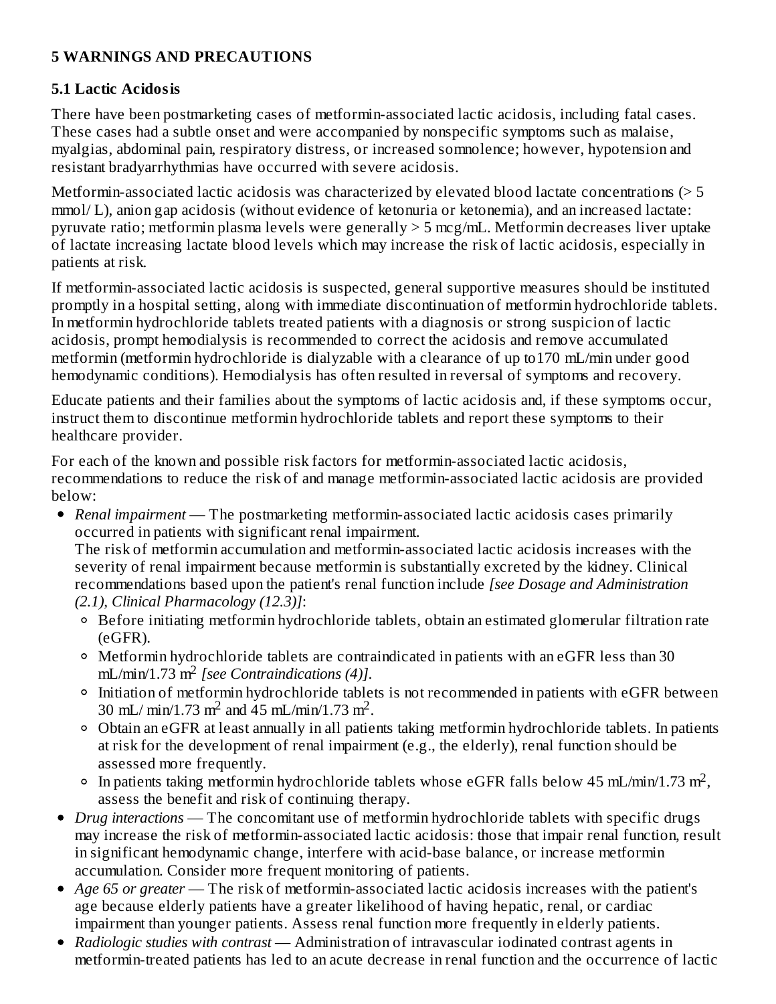## **5 WARNINGS AND PRECAUTIONS**

## **5.1 Lactic Acidosis**

There have been postmarketing cases of metformin-associated lactic acidosis, including fatal cases. These cases had a subtle onset and were accompanied by nonspecific symptoms such as malaise, myalgias, abdominal pain, respiratory distress, or increased somnolence; however, hypotension and resistant bradyarrhythmias have occurred with severe acidosis.

Metformin-associated lactic acidosis was characterized by elevated blood lactate concentrations (> 5 mmol/ L), anion gap acidosis (without evidence of ketonuria or ketonemia), and an increased lactate: pyruvate ratio; metformin plasma levels were generally > 5 mcg/mL. Metformin decreases liver uptake of lactate increasing lactate blood levels which may increase the risk of lactic acidosis, especially in patients at risk.

If metformin-associated lactic acidosis is suspected, general supportive measures should be instituted promptly in a hospital setting, along with immediate discontinuation of metformin hydrochloride tablets. In metformin hydrochloride tablets treated patients with a diagnosis or strong suspicion of lactic acidosis, prompt hemodialysis is recommended to correct the acidosis and remove accumulated metformin (metformin hydrochloride is dialyzable with a clearance of up to170 mL/min under good hemodynamic conditions). Hemodialysis has often resulted in reversal of symptoms and recovery.

Educate patients and their families about the symptoms of lactic acidosis and, if these symptoms occur, instruct them to discontinue metformin hydrochloride tablets and report these symptoms to their healthcare provider.

For each of the known and possible risk factors for metformin-associated lactic acidosis, recommendations to reduce the risk of and manage metformin-associated lactic acidosis are provided below:

*Renal impairment* — The postmarketing metformin-associated lactic acidosis cases primarily occurred in patients with significant renal impairment.

The risk of metformin accumulation and metformin-associated lactic acidosis increases with the severity of renal impairment because metformin is substantially excreted by the kidney. Clinical recommendations based upon the patient's renal function include *[see Dosage and Administration (2.1), Clinical Pharmacology (12.3)]*:

- Before initiating metformin hydrochloride tablets, obtain an estimated glomerular filtration rate (eGFR).
- Metformin hydrochloride tablets are contraindicated in patients with an eGFR less than 30 mL/min/1.73 m<sup>2</sup> [see *Contraindications* (4)].
- Initiation of metformin hydrochloride tablets is not recommended in patients with eGFR between 30 mL/min/1.73 m<sup>2</sup> and 45 mL/min/1.73 m<sup>2</sup>.
- Obtain an eGFR at least annually in all patients taking metformin hydrochloride tablets. In patients at risk for the development of renal impairment (e.g., the elderly), renal function should be assessed more frequently.
- In patients taking metformin hydrochloride tablets whose eGFR falls below 45 mL/min/1.73 m<sup>2</sup>, assess the benefit and risk of continuing therapy.
- *Drug interactions* The concomitant use of metformin hydrochloride tablets with specific drugs may increase the risk of metformin-associated lactic acidosis: those that impair renal function, result in significant hemodynamic change, interfere with acid-base balance, or increase metformin accumulation. Consider more frequent monitoring of patients.
- *Age 65 or greater* The risk of metformin-associated lactic acidosis increases with the patient's age because elderly patients have a greater likelihood of having hepatic, renal, or cardiac impairment than younger patients. Assess renal function more frequently in elderly patients.
- *Radiologic studies with contrast* Administration of intravascular iodinated contrast agents in metformin-treated patients has led to an acute decrease in renal function and the occurrence of lactic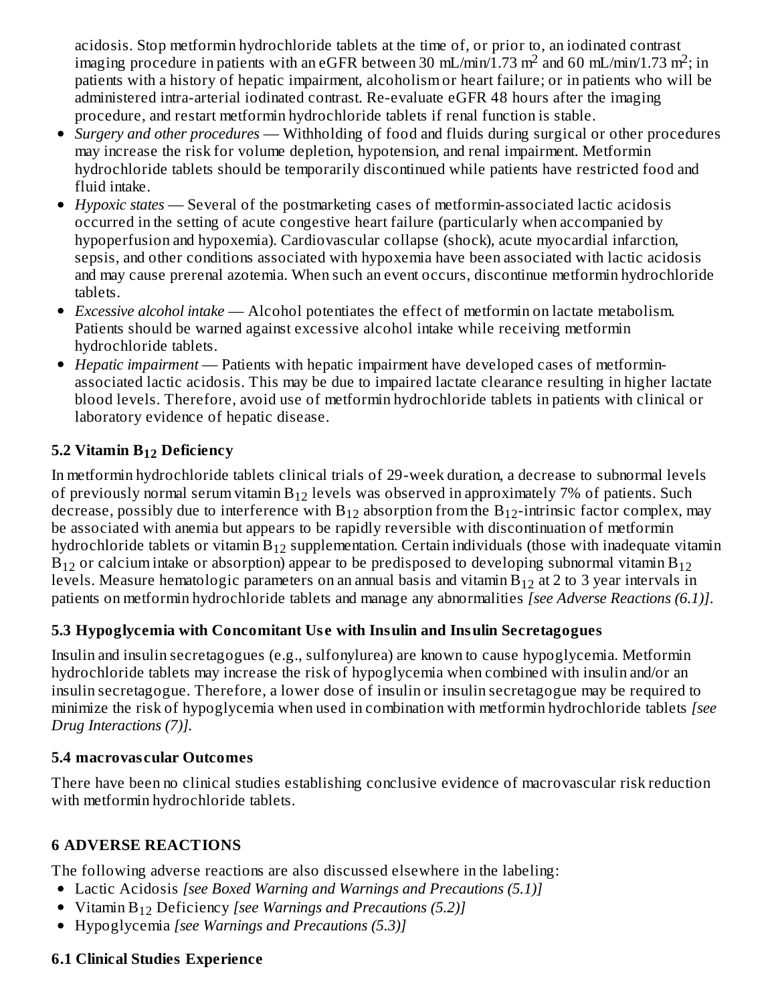acidosis. Stop metformin hydrochloride tablets at the time of, or prior to, an iodinated contrast imaging procedure in patients with an eGFR between 30 mL/min/1.73 m<sup>2</sup> and 60 mL/min/1.73 m<sup>2</sup>; in patients with a history of hepatic impairment, alcoholism or heart failure; or in patients who will be administered intra-arterial iodinated contrast. Re-evaluate eGFR 48 hours after the imaging procedure, and restart metformin hydrochloride tablets if renal function is stable.

- *Surgery and other procedures* Withholding of food and fluids during surgical or other procedures may increase the risk for volume depletion, hypotension, and renal impairment. Metformin hydrochloride tablets should be temporarily discontinued while patients have restricted food and fluid intake.
- *Hypoxic states* Several of the postmarketing cases of metformin-associated lactic acidosis occurred in the setting of acute congestive heart failure (particularly when accompanied by hypoperfusion and hypoxemia). Cardiovascular collapse (shock), acute myocardial infarction, sepsis, and other conditions associated with hypoxemia have been associated with lactic acidosis and may cause prerenal azotemia. When such an event occurs, discontinue metformin hydrochloride tablets.
- *Excessive alcohol intake* Alcohol potentiates the effect of metformin on lactate metabolism. Patients should be warned against excessive alcohol intake while receiving metformin hydrochloride tablets.
- *Hepatic impairment* Patients with hepatic impairment have developed cases of metforminassociated lactic acidosis. This may be due to impaired lactate clearance resulting in higher lactate blood levels. Therefore, avoid use of metformin hydrochloride tablets in patients with clinical or laboratory evidence of hepatic disease.

## **5.2 Vitamin B Deficiency 12**

In metformin hydrochloride tablets clinical trials of 29-week duration, a decrease to subnormal levels of previously normal serum vitamin  $\rm B_{12}$  levels was observed in approximately 7% of patients. Such decrease, possibly due to interference with  $\hbox{B}_{12}$  absorption from the  $\hbox{B}_{12}$ -intrinsic factor complex, may be associated with anemia but appears to be rapidly reversible with discontinuation of metformin hydrochloride tablets or vitamin $\rm B_{12}$  supplementation. Certain individuals (those with inadequate vitamin  $\rm B_{12}$  or calcium intake or absorption) appear to be predisposed to developing subnormal vitamin  $\rm B_{12}$ levels. Measure hematologic parameters on an annual basis and vitamin  $\rm B_{12}$  at 2 to 3 year intervals in patients on metformin hydrochloride tablets and manage any abnormalities *[see Adverse Reactions (6.1)]*.

## **5.3 Hypoglycemia with Concomitant Us e with Insulin and Insulin Secretagogues**

Insulin and insulin secretagogues (e.g., sulfonylurea) are known to cause hypoglycemia. Metformin hydrochloride tablets may increase the risk of hypoglycemia when combined with insulin and/or an insulin secretagogue. Therefore, a lower dose of insulin or insulin secretagogue may be required to minimize the risk of hypoglycemia when used in combination with metformin hydrochloride tablets *[see Drug Interactions (7)].*

## **5.4 macrovas cular Outcomes**

There have been no clinical studies establishing conclusive evidence of macrovascular risk reduction with metformin hydrochloride tablets.

## **6 ADVERSE REACTIONS**

The following adverse reactions are also discussed elsewhere in the labeling:

- Lactic Acidosis *[see Boxed Warning and Warnings and Precautions (5.1)]*
- *Kitamin* B<sub>12</sub> Deficiency *[see Warnings and Precautions (5.2)]*
- Hypoglycemia *[see Warnings and Precautions (5.3)]*

# **6.1 Clinical Studies Experience**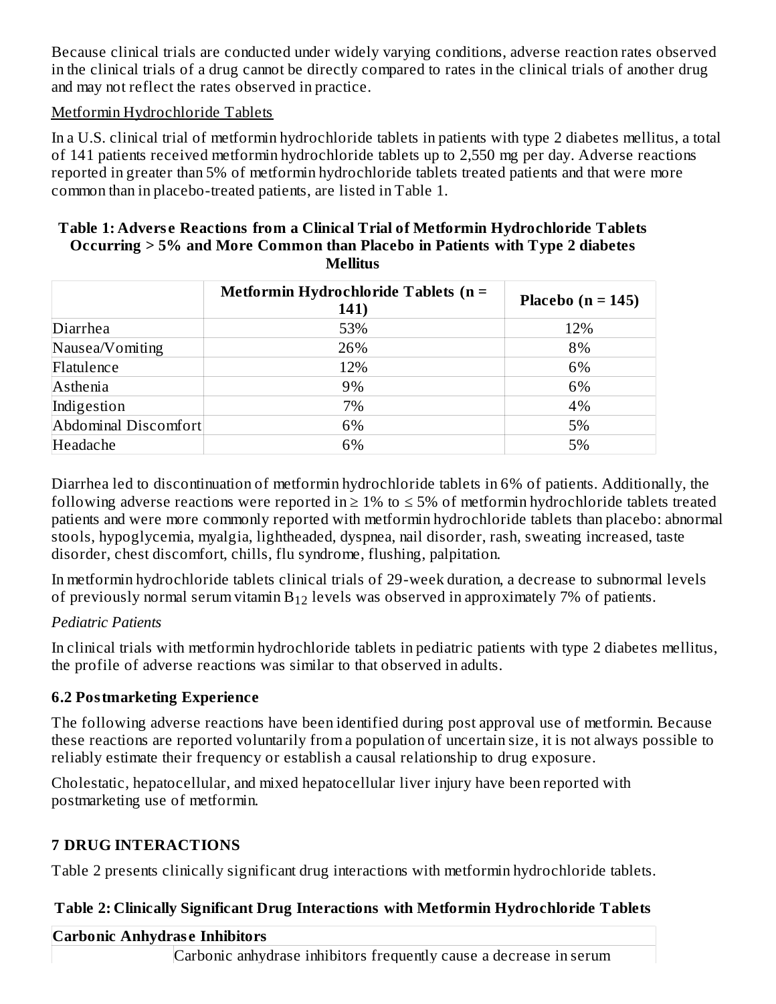Because clinical trials are conducted under widely varying conditions, adverse reaction rates observed in the clinical trials of a drug cannot be directly compared to rates in the clinical trials of another drug and may not reflect the rates observed in practice.

## Metformin Hydrochloride Tablets

In a U.S. clinical trial of metformin hydrochloride tablets in patients with type 2 diabetes mellitus, a total of 141 patients received metformin hydrochloride tablets up to 2,550 mg per day. Adverse reactions reported in greater than 5% of metformin hydrochloride tablets treated patients and that were more common than in placebo-treated patients, are listed in Table 1.

| Table 1: Adverse Reactions from a Clinical Trial of Metformin Hydrochloride Tablets |
|-------------------------------------------------------------------------------------|
| Occurring > 5% and More Common than Placebo in Patients with Type 2 diabetes        |
| <b>Mellitus</b>                                                                     |

|                      | Metformin Hydrochloride Tablets ( $n =$<br>141) | Placebo ( $n = 145$ ) |
|----------------------|-------------------------------------------------|-----------------------|
| Diarrhea             | 53%                                             | 12%                   |
| Nausea/Vomiting      | 26%                                             | 8%                    |
| Flatulence           | 12%                                             | 6%                    |
| Asthenia             | 9%                                              | 6%                    |
| Indigestion          | 7%                                              | 4%                    |
| Abdominal Discomfort | 6%                                              | 5%                    |
| Headache             | 6%                                              | 5%                    |

Diarrhea led to discontinuation of metformin hydrochloride tablets in 6% of patients. Additionally, the following adverse reactions were reported in  $\geq 1\%$  to  $\leq 5\%$  of metformin hydrochloride tablets treated patients and were more commonly reported with metformin hydrochloride tablets than placebo: abnormal stools, hypoglycemia, myalgia, lightheaded, dyspnea, nail disorder, rash, sweating increased, taste disorder, chest discomfort, chills, flu syndrome, flushing, palpitation.

In metformin hydrochloride tablets clinical trials of 29-week duration, a decrease to subnormal levels of previously normal serum vitamin  $B_{12}$  levels was observed in approximately 7% of patients.

## *Pediatric Patients*

In clinical trials with metformin hydrochloride tablets in pediatric patients with type 2 diabetes mellitus, the profile of adverse reactions was similar to that observed in adults.

## **6.2 Postmarketing Experience**

The following adverse reactions have been identified during post approval use of metformin. Because these reactions are reported voluntarily from a population of uncertain size, it is not always possible to reliably estimate their frequency or establish a causal relationship to drug exposure.

Cholestatic, hepatocellular, and mixed hepatocellular liver injury have been reported with postmarketing use of metformin.

# **7 DRUG INTERACTIONS**

Table 2 presents clinically significant drug interactions with metformin hydrochloride tablets.

## **Table 2: Clinically Significant Drug Interactions with Metformin Hydrochloride Tablets**

**Carbonic Anhydras e Inhibitors**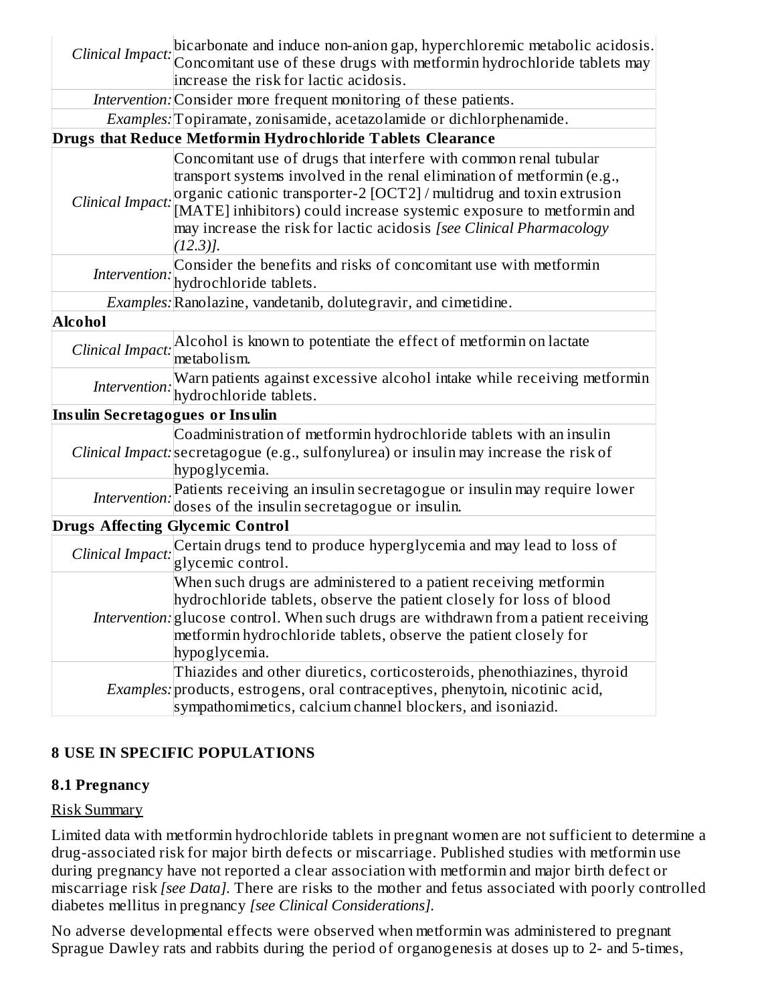| Clinical Impact:                                                     | bicarbonate and induce non-anion gap, hyperchloremic metabolic acidosis.<br>Concomitant use of these drugs with metformin hydrochloride tablets may<br>increase the risk for lactic acidosis.                                                                                                                                                                                        |  |  |  |  |  |  |
|----------------------------------------------------------------------|--------------------------------------------------------------------------------------------------------------------------------------------------------------------------------------------------------------------------------------------------------------------------------------------------------------------------------------------------------------------------------------|--|--|--|--|--|--|
|                                                                      | Intervention: Consider more frequent monitoring of these patients.                                                                                                                                                                                                                                                                                                                   |  |  |  |  |  |  |
| Examples: Topiramate, zonisamide, acetazolamide or dichlorphenamide. |                                                                                                                                                                                                                                                                                                                                                                                      |  |  |  |  |  |  |
|                                                                      | Drugs that Reduce Metformin Hydrochloride Tablets Clearance                                                                                                                                                                                                                                                                                                                          |  |  |  |  |  |  |
| <b>Clinical Impact:</b>                                              | Concomitant use of drugs that interfere with common renal tubular<br>transport systems involved in the renal elimination of metformin (e.g.,<br>organic cationic transporter-2 [OCT2] / multidrug and toxin extrusion<br>[MATE] inhibitors) could increase systemic exposure to metformin and<br>may increase the risk for lactic acidosis [see Clinical Pharmacology<br>$(12.3)$ ]. |  |  |  |  |  |  |
|                                                                      | Intervention: Consider the benefits and risks of concomitant use with metformin<br>hydrochloride tablets.                                                                                                                                                                                                                                                                            |  |  |  |  |  |  |
|                                                                      | Examples: Ranolazine, vandetanib, dolutegravir, and cimetidine.                                                                                                                                                                                                                                                                                                                      |  |  |  |  |  |  |
| <b>Alcohol</b>                                                       |                                                                                                                                                                                                                                                                                                                                                                                      |  |  |  |  |  |  |
| Clinical Impact:                                                     | Alcohol is known to potentiate the effect of metformin on lactate<br>metabolism.                                                                                                                                                                                                                                                                                                     |  |  |  |  |  |  |
|                                                                      | Warn patients against excessive alcohol intake while receiving metformin<br>Intervention: hydrochloride tablets.                                                                                                                                                                                                                                                                     |  |  |  |  |  |  |
| Insulin Secretagogues or Insulin                                     |                                                                                                                                                                                                                                                                                                                                                                                      |  |  |  |  |  |  |
|                                                                      | Coadministration of metformin hydrochloride tablets with an insulin<br>Clinical Impact: secretagogue (e.g., sulfonylurea) or insulin may increase the risk of<br>hypoglycemia.                                                                                                                                                                                                       |  |  |  |  |  |  |
| Intervention:                                                        | Patients receiving an insulin secretagogue or insulin may require lower<br>doses of the insulin secretagogue or insulin.                                                                                                                                                                                                                                                             |  |  |  |  |  |  |
| <b>Drugs Affecting Glycemic Control</b>                              |                                                                                                                                                                                                                                                                                                                                                                                      |  |  |  |  |  |  |
|                                                                      | Clinical Impact: Certain drugs tend to produce hyperglycemia and may lead to loss of<br>glycemic control.                                                                                                                                                                                                                                                                            |  |  |  |  |  |  |
|                                                                      | When such drugs are administered to a patient receiving metformin<br>hydrochloride tablets, observe the patient closely for loss of blood<br>Intervention: glucose control. When such drugs are withdrawn from a patient receiving<br>metformin hydrochloride tablets, observe the patient closely for<br>hypoglycemia.                                                              |  |  |  |  |  |  |
|                                                                      | Thiazides and other diuretics, corticosteroids, phenothiazines, thyroid<br>Examples: products, estrogens, oral contraceptives, phenytoin, nicotinic acid,<br>sympathomimetics, calcium channel blockers, and isoniazid.                                                                                                                                                              |  |  |  |  |  |  |

## **8 USE IN SPECIFIC POPULATIONS**

## **8.1 Pregnancy**

#### Risk Summary

Limited data with metformin hydrochloride tablets in pregnant women are not sufficient to determine a drug-associated risk for major birth defects or miscarriage. Published studies with metformin use during pregnancy have not reported a clear association with metformin and major birth defect or miscarriage risk *[see Data].* There are risks to the mother and fetus associated with poorly controlled diabetes mellitus in pregnancy *[see Clinical Considerations].*

No adverse developmental effects were observed when metformin was administered to pregnant Sprague Dawley rats and rabbits during the period of organogenesis at doses up to 2- and 5-times,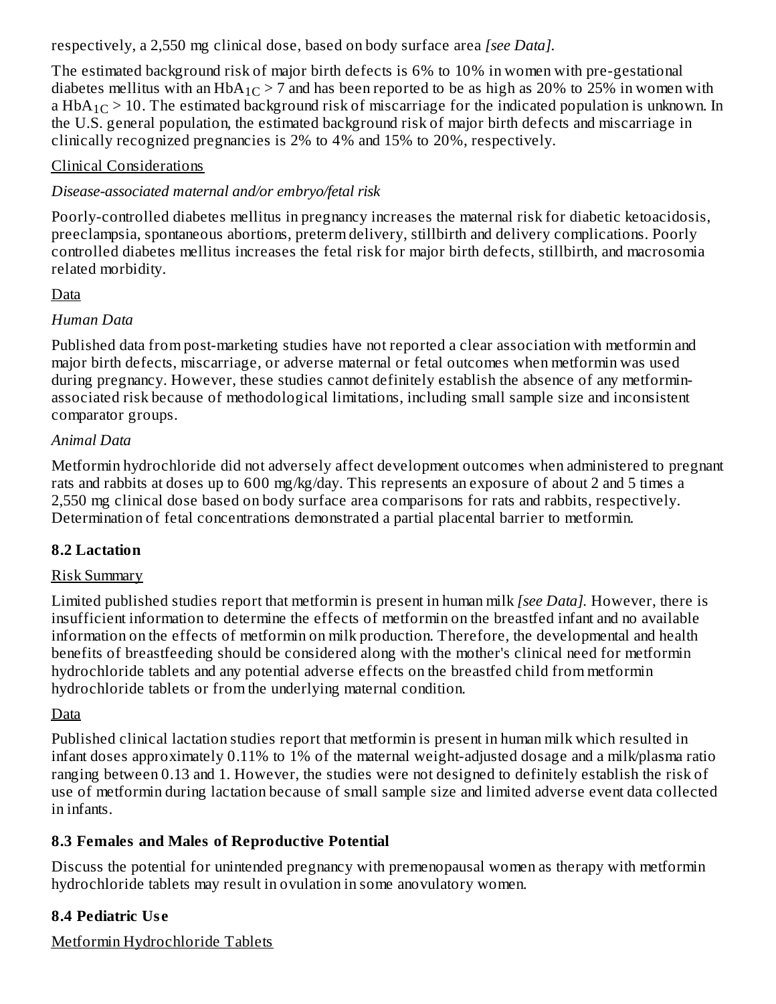respectively, a 2,550 mg clinical dose, based on body surface area *[see Data].*

The estimated background risk of major birth defects is 6% to 10% in women with pre-gestational diabetes mellitus with an HbA $_{1C}$  > 7 and has been reported to be as high as 20% to 25% in women with a  $HbA_{1C}$   $>$  10. The estimated background risk of miscarriage for the indicated population is unknown. In the U.S. general population, the estimated background risk of major birth defects and miscarriage in clinically recognized pregnancies is 2% to 4% and 15% to 20%, respectively.

## Clinical Considerations

*Disease-associated maternal and/or embryo/fetal risk*

Poorly-controlled diabetes mellitus in pregnancy increases the maternal risk for diabetic ketoacidosis, preeclampsia, spontaneous abortions, preterm delivery, stillbirth and delivery complications. Poorly controlled diabetes mellitus increases the fetal risk for major birth defects, stillbirth, and macrosomia related morbidity.

Data

## *Human Data*

Published data from post-marketing studies have not reported a clear association with metformin and major birth defects, miscarriage, or adverse maternal or fetal outcomes when metformin was used during pregnancy. However, these studies cannot definitely establish the absence of any metforminassociated risk because of methodological limitations, including small sample size and inconsistent comparator groups.

## *Animal Data*

Metformin hydrochloride did not adversely affect development outcomes when administered to pregnant rats and rabbits at doses up to 600 mg/kg/day. This represents an exposure of about 2 and 5 times a 2,550 mg clinical dose based on body surface area comparisons for rats and rabbits, respectively. Determination of fetal concentrations demonstrated a partial placental barrier to metformin.

## **8.2 Lactation**

## Risk Summary

Limited published studies report that metformin is present in human milk *[see Data].* However, there is insufficient information to determine the effects of metformin on the breastfed infant and no available information on the effects of metformin on milk production. Therefore, the developmental and health benefits of breastfeeding should be considered along with the mother's clinical need for metformin hydrochloride tablets and any potential adverse effects on the breastfed child from metformin hydrochloride tablets or from the underlying maternal condition.

## Data

Published clinical lactation studies report that metformin is present in human milk which resulted in infant doses approximately 0.11% to 1% of the maternal weight-adjusted dosage and a milk/plasma ratio ranging between 0.13 and 1. However, the studies were not designed to definitely establish the risk of use of metformin during lactation because of small sample size and limited adverse event data collected in infants.

# **8.3 Females and Males of Reproductive Potential**

Discuss the potential for unintended pregnancy with premenopausal women as therapy with metformin hydrochloride tablets may result in ovulation in some anovulatory women.

# **8.4 Pediatric Us e**

Metformin Hydrochloride Tablets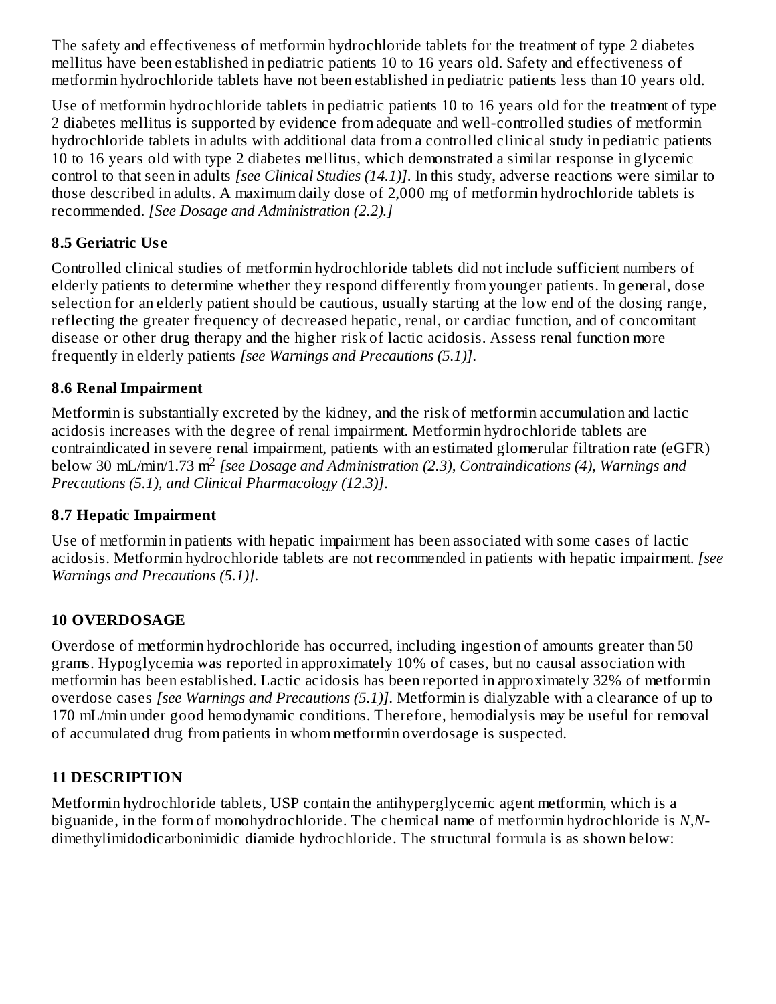The safety and effectiveness of metformin hydrochloride tablets for the treatment of type 2 diabetes mellitus have been established in pediatric patients 10 to 16 years old. Safety and effectiveness of metformin hydrochloride tablets have not been established in pediatric patients less than 10 years old.

Use of metformin hydrochloride tablets in pediatric patients 10 to 16 years old for the treatment of type 2 diabetes mellitus is supported by evidence from adequate and well-controlled studies of metformin hydrochloride tablets in adults with additional data from a controlled clinical study in pediatric patients 10 to 16 years old with type 2 diabetes mellitus, which demonstrated a similar response in glycemic control to that seen in adults *[see Clinical Studies (14.1)]*. In this study, adverse reactions were similar to those described in adults. A maximum daily dose of 2,000 mg of metformin hydrochloride tablets is recommended. *[See Dosage and Administration (2.2).]*

# **8.5 Geriatric Us e**

Controlled clinical studies of metformin hydrochloride tablets did not include sufficient numbers of elderly patients to determine whether they respond differently from younger patients. In general, dose selection for an elderly patient should be cautious, usually starting at the low end of the dosing range, reflecting the greater frequency of decreased hepatic, renal, or cardiac function, and of concomitant disease or other drug therapy and the higher risk of lactic acidosis. Assess renal function more frequently in elderly patients *[see Warnings and Precautions (5.1)]*.

## **8.6 Renal Impairment**

Metformin is substantially excreted by the kidney, and the risk of metformin accumulation and lactic acidosis increases with the degree of renal impairment. Metformin hydrochloride tablets are contraindicated in severe renal impairment, patients with an estimated glomerular filtration rate (eGFR) below 30 mL/min/1.73 m<sup>2</sup> [see Dosage and Administration (2.3), Contraindications (4), Warnings and *Precautions (5.1), and Clinical Pharmacology (12.3)]*.

## **8.7 Hepatic Impairment**

Use of metformin in patients with hepatic impairment has been associated with some cases of lactic acidosis. Metformin hydrochloride tablets are not recommended in patients with hepatic impairment. *[see Warnings and Precautions (5.1)]*.

## **10 OVERDOSAGE**

Overdose of metformin hydrochloride has occurred, including ingestion of amounts greater than 50 grams. Hypoglycemia was reported in approximately 10% of cases, but no causal association with metformin has been established. Lactic acidosis has been reported in approximately 32% of metformin overdose cases *[see Warnings and Precautions (5.1)]*. Metformin is dialyzable with a clearance of up to 170 mL/min under good hemodynamic conditions. Therefore, hemodialysis may be useful for removal of accumulated drug from patients in whom metformin overdosage is suspected.

## **11 DESCRIPTION**

Metformin hydrochloride tablets, USP contain the antihyperglycemic agent metformin, which is a biguanide, in the form of monohydrochloride. The chemical name of metformin hydrochloride is *N,N*dimethylimidodicarbonimidic diamide hydrochloride. The structural formula is as shown below: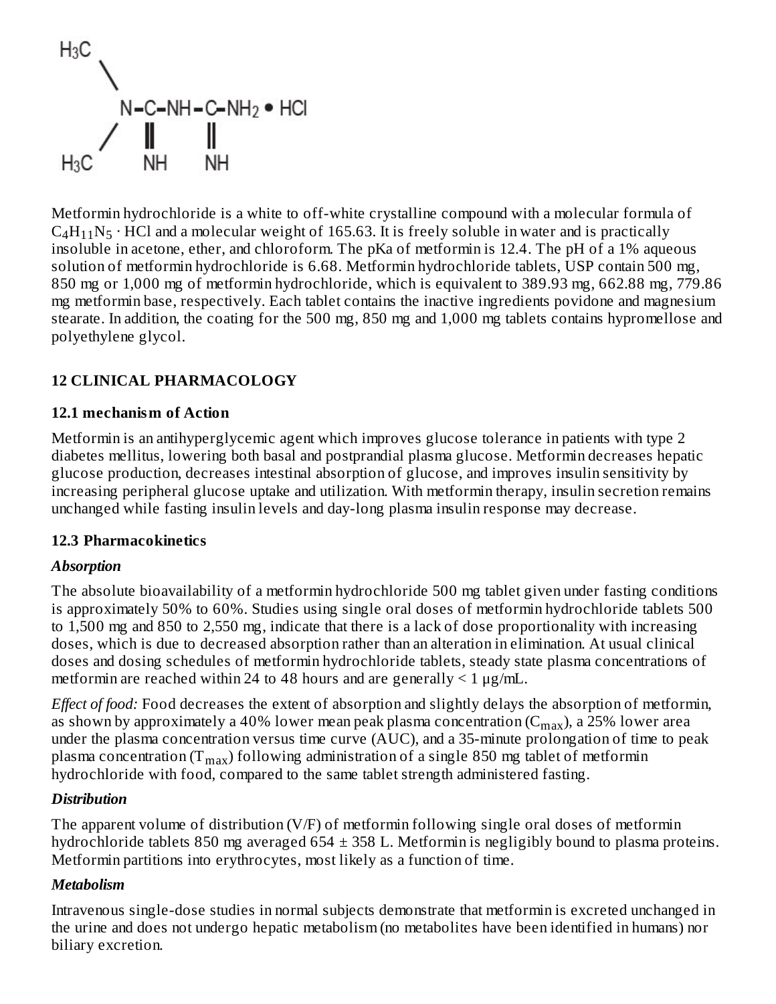

Metformin hydrochloride is a white to off-white crystalline compound with a molecular formula of  $C_4H_{11}N_5\cdot HCl$  and a molecular weight of 165.63. It is freely soluble in water and is practically insoluble in acetone, ether, and chloroform. The pKa of metformin is 12.4. The pH of a 1% aqueous solution of metformin hydrochloride is 6.68. Metformin hydrochloride tablets, USP contain 500 mg, 850 mg or 1,000 mg of metformin hydrochloride, which is equivalent to 389.93 mg, 662.88 mg, 779.86 mg metformin base, respectively. Each tablet contains the inactive ingredients povidone and magnesium stearate. In addition, the coating for the 500 mg, 850 mg and 1,000 mg tablets contains hypromellose and polyethylene glycol.

## **12 CLINICAL PHARMACOLOGY**

#### **12.1 mechanism of Action**

Metformin is an antihyperglycemic agent which improves glucose tolerance in patients with type 2 diabetes mellitus, lowering both basal and postprandial plasma glucose. Metformin decreases hepatic glucose production, decreases intestinal absorption of glucose, and improves insulin sensitivity by increasing peripheral glucose uptake and utilization. With metformin therapy, insulin secretion remains unchanged while fasting insulin levels and day-long plasma insulin response may decrease.

#### **12.3 Pharmacokinetics**

#### *Absorption*

The absolute bioavailability of a metformin hydrochloride 500 mg tablet given under fasting conditions is approximately 50% to 60%. Studies using single oral doses of metformin hydrochloride tablets 500 to 1,500 mg and 850 to 2,550 mg, indicate that there is a lack of dose proportionality with increasing doses, which is due to decreased absorption rather than an alteration in elimination. At usual clinical doses and dosing schedules of metformin hydrochloride tablets, steady state plasma concentrations of metformin are reached within 24 to 48 hours and are generally  $\leq 1$  µg/mL.

*Effect of food:* Food decreases the extent of absorption and slightly delays the absorption of metformin, as shown by approximately a 40% lower mean peak plasma concentration (C $_{\rm max}$ ), a 25% lower area under the plasma concentration versus time curve (AUC), and a 35-minute prolongation of time to peak plasma concentration (T $_{\rm max}$ ) following administration of a single 850 mg tablet of metformin hydrochloride with food, compared to the same tablet strength administered fasting.

#### *Distribution*

The apparent volume of distribution (V/F) of metformin following single oral doses of metformin hydrochloride tablets 850 mg averaged  $654 \pm 358$  L. Metformin is negligibly bound to plasma proteins. Metformin partitions into erythrocytes, most likely as a function of time.

#### *Metabolism*

Intravenous single-dose studies in normal subjects demonstrate that metformin is excreted unchanged in the urine and does not undergo hepatic metabolism (no metabolites have been identified in humans) nor biliary excretion.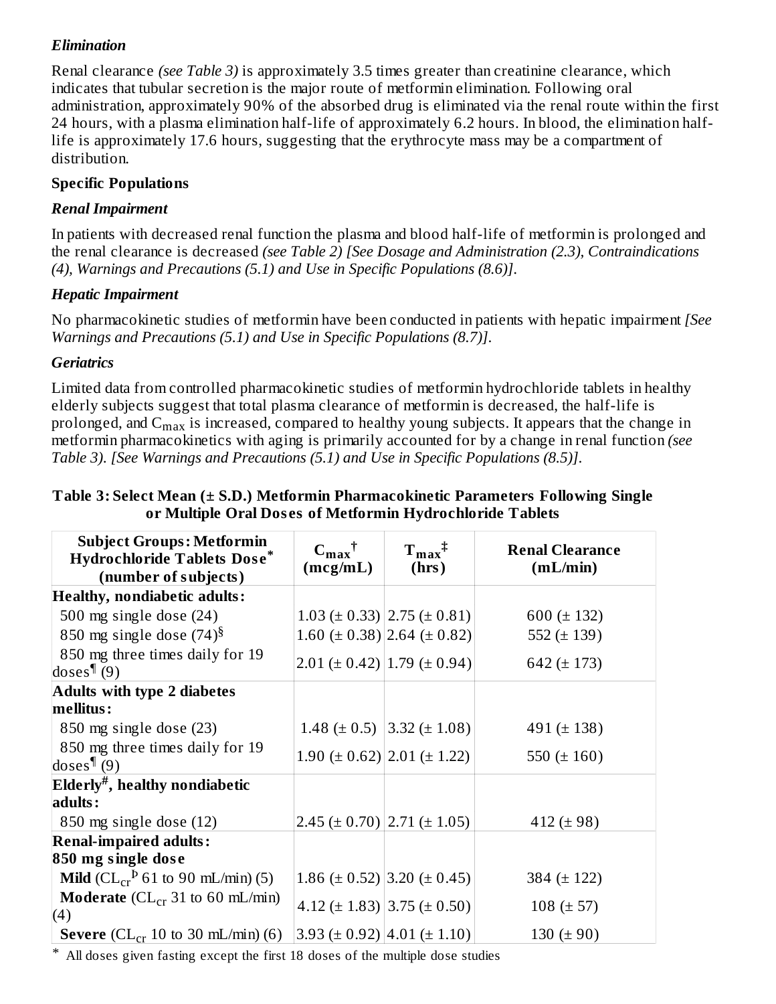## *Elimination*

Renal clearance *(see Table 3)* is approximately 3.5 times greater than creatinine clearance, which indicates that tubular secretion is the major route of metformin elimination. Following oral administration, approximately 90% of the absorbed drug is eliminated via the renal route within the first 24 hours, with a plasma elimination half-life of approximately 6.2 hours. In blood, the elimination halflife is approximately 17.6 hours, suggesting that the erythrocyte mass may be a compartment of distribution.

## **Specific Populations**

## *Renal Impairment*

In patients with decreased renal function the plasma and blood half-life of metformin is prolonged and the renal clearance is decreased *(see Table 2) [See Dosage and Administration (2.3), Contraindications (4), Warnings and Precautions (5.1) and Use in Specific Populations (8.6)]*.

## *Hepatic Impairment*

No pharmacokinetic studies of metformin have been conducted in patients with hepatic impairment *[See Warnings and Precautions (5.1) and Use in Specific Populations (8.7)]*.

## *Geriatrics*

Limited data from controlled pharmacokinetic studies of metformin hydrochloride tablets in healthy elderly subjects suggest that total plasma clearance of metformin is decreased, the half-life is prolonged, and  $\rm{C_{max}}$  is increased, compared to healthy young subjects. It appears that the change in metformin pharmacokinetics with aging is primarily accounted for by a change in renal function *(see Table 3)*. *[See Warnings and Precautions (5.1) and Use in Specific Populations (8.5)]*.

| <b>Subject Groups: Metformin</b><br><b>Hydrochloride Tablets Dose*</b><br>(number of subjects) | $C_{\text{max}}^{\dagger}$<br>(mcg/mL) | $T_{max}$ <sup>‡</sup><br>(hrs)                                   | <b>Renal Clearance</b><br>(mL/min) |
|------------------------------------------------------------------------------------------------|----------------------------------------|-------------------------------------------------------------------|------------------------------------|
| Healthy, nondiabetic adults:                                                                   |                                        |                                                                   |                                    |
| 500 mg single dose $(24)$                                                                      |                                        | $1.03 (\pm 0.33)   2.75 (\pm 0.81)  $                             | 600 $(\pm 132)$                    |
| 850 mg single dose $(74)^8$                                                                    |                                        | 1.60 $(\pm 0.38)$ 2.64 $(\pm 0.82)$                               | 552 $(\pm 139)$                    |
| 850 mg three times daily for 19<br>doses <sup>(1</sup> $(9)$ )                                 |                                        | $2.01 (\pm 0.42)   1.79 (\pm 0.94)  $                             | 642 ( $\pm$ 173)                   |
| Adults with type 2 diabetes                                                                    |                                        |                                                                   |                                    |
| mellitus:                                                                                      |                                        |                                                                   |                                    |
| 850 mg single dose (23)                                                                        |                                        | 1.48 ( $\pm$ 0.5) 3.32 ( $\pm$ 1.08)                              | 491 $(\pm 138)$                    |
| 850 mg three times daily for 19<br>doses <sup>¶</sup> (9)                                      |                                        | 1.90 ( $\pm$ 0.62) 2.01 ( $\pm$ 1.22)                             | 550 $(\pm 160)$                    |
| $E$ lderly $^{\#}$ , healthy nondiabetic                                                       |                                        |                                                                   |                                    |
| adults:                                                                                        |                                        |                                                                   |                                    |
| 850 mg single dose (12)                                                                        |                                        | $2.45 \left( \pm 0.70 \right) \vert 2.71 \left( \pm 1.05 \right)$ | 412 ( $\pm$ 98)                    |
| <b>Renal-impaired adults:</b>                                                                  |                                        |                                                                   |                                    |
| 850 mg single dose                                                                             |                                        |                                                                   |                                    |
| <b>Mild</b> ( $CL_{cr}^{\text{p}} 61$ to 90 mL/min) (5)                                        |                                        | 1.86 ( $\pm$ 0.52) 3.20 ( $\pm$ 0.45)                             | 384 $(\pm 122)$                    |
| <b>Moderate</b> ( $CL_{cr}$ 31 to 60 mL/min)<br>(4)                                            |                                        | 4.12 ( $\pm$ 1.83) 3.75 ( $\pm$ 0.50)                             | 108 $(\pm 57)$                     |
| <b>Severe</b> ( $CL_{cr}$ 10 to 30 mL/min) (6)                                                 |                                        | $3.93 (\pm 0.92)   4.01 (\pm 1.10)$                               | 130 ( $\pm$ 90)                    |

### **Table 3: Select Mean (± S.D.) Metformin Pharmacokinetic Parameters Following Single or Multiple Oral Dos es of Metformin Hydrochloride Tablets**

\* All doses given fasting except the first 18 doses of the multiple dose studies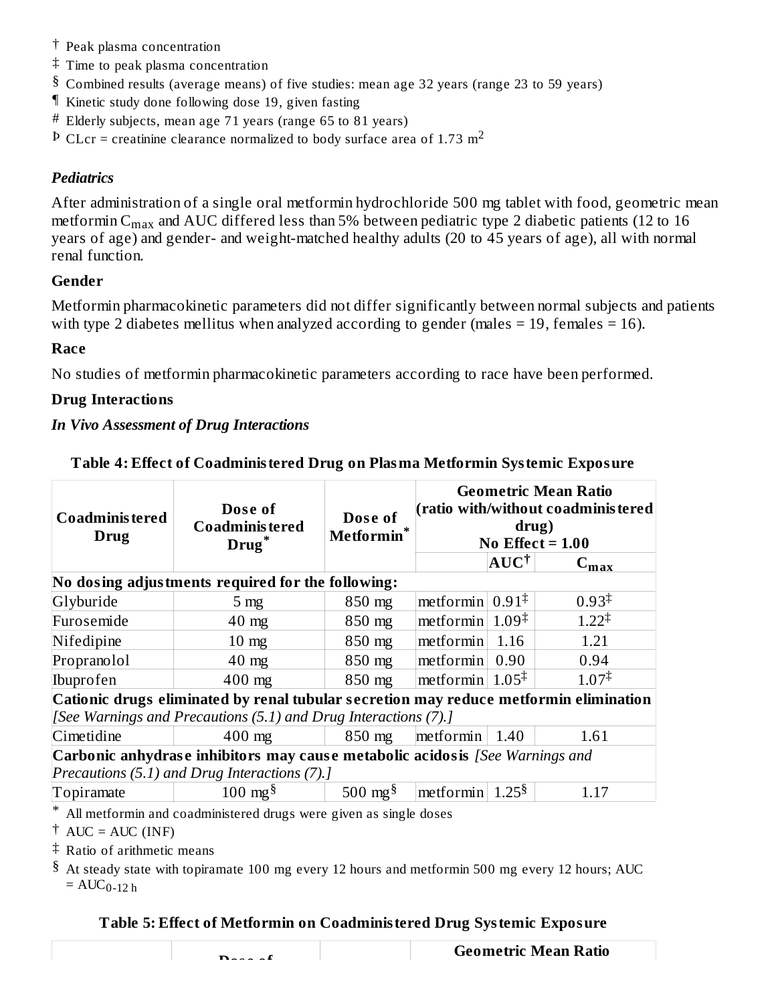- † Peak plasma concentration
- ‡ Time to peak plasma concentration
- § Combined results (average means) of five studies: mean age 32 years (range 23 to 59 years)
- ¶ Kinetic study done following dose 19, given fasting
- # Elderly subjects, mean age 71 years (range 65 to 81 years)
- $\rm \Phi$  CLcr = creatinine clearance normalized to body surface area of 1.73 m<sup>2</sup>

### *Pediatrics*

After administration of a single oral metformin hydrochloride 500 mg tablet with food, geometric mean metformin C $_{\rm max}$  and AUC differed less than 5% between pediatric type 2 diabetic patients (12 to 16 years of age) and gender- and weight-matched healthy adults (20 to 45 years of age), all with normal renal function.

### **Gender**

Metformin pharmacokinetic parameters did not differ significantly between normal subjects and patients with type 2 diabetes mellitus when analyzed according to gender (males  $= 19$ , females  $= 16$ ).

#### **Race**

No studies of metformin pharmacokinetic parameters according to race have been performed.

#### **Drug Interactions**

#### *In Vivo Assessment of Drug Interactions*

| <b>Coadministered</b><br>Drug                                                | Dose of<br>Coadministered<br>Drug <sup>*</sup>                                        | Dose of<br>Metformin <sup>*</sup> | <b>Geometric Mean Ratio</b><br>(ratio with/without coadministered<br>drug)<br>No Effect = $1.00$ |                   |                       |
|------------------------------------------------------------------------------|---------------------------------------------------------------------------------------|-----------------------------------|--------------------------------------------------------------------------------------------------|-------------------|-----------------------|
|                                                                              |                                                                                       |                                   |                                                                                                  | $AUC^{\dagger}$   | $C_{\frac{max}{max}}$ |
|                                                                              | No dosing adjustments required for the following:                                     |                                   |                                                                                                  |                   |                       |
| Glyburide                                                                    | $5 \text{ mg}$                                                                        | 850 mg                            | metformin                                                                                        | $0.91^{\ddagger}$ | $0.93^{\ddagger}$     |
| Furosemide                                                                   | $40$ mg                                                                               | 850 mg                            | metformin $1.09^{\ddagger}$                                                                      |                   | $1.22^{\ddagger}$     |
| Nifedipine                                                                   | $10 \text{ mg}$                                                                       | 850 mg                            | metformin                                                                                        | 1.16              | 1.21                  |
| Propranolol                                                                  | $40$ mg                                                                               | $850$ mg                          | metformin                                                                                        | 0.90              | 0.94                  |
| Ibuprofen                                                                    | 400 mg                                                                                | 850 mg                            | metformin $1.05^{\ddagger}$                                                                      |                   | $1.07^{\ddagger}$     |
|                                                                              | Cationic drugs eliminated by renal tubular secretion may reduce metformin elimination |                                   |                                                                                                  |                   |                       |
|                                                                              | [See Warnings and Precautions (5.1) and Drug Interactions (7).]                       |                                   |                                                                                                  |                   |                       |
| Cimetidine                                                                   | $400$ mg                                                                              | 850 mg                            | metformin                                                                                        | 1.40              | 1.61                  |
| Carbonic anhydrase inhibitors may cause metabolic acidosis [See Warnings and |                                                                                       |                                   |                                                                                                  |                   |                       |
|                                                                              | Precautions (5.1) and Drug Interactions (7).]                                         |                                   |                                                                                                  |                   |                       |
| Topiramate                                                                   | 100 mg <sup>§</sup>                                                                   | 500 mg <sup>§</sup>               | metformin                                                                                        | 1.25 <sup>8</sup> | 1.17                  |

\* All metformin and coadministered drugs were given as single doses

 $\dagger$  AUC = AUC (INF)

‡ Ratio of arithmetic means

 $\S$  At steady state with topiramate 100 mg every 12 hours and metformin 500 mg every 12 hours; AUC  $= AUC_{0-12 h}$ 

### **Table 5: Effect of Metformin on Coadministered Drug Systemic Exposure**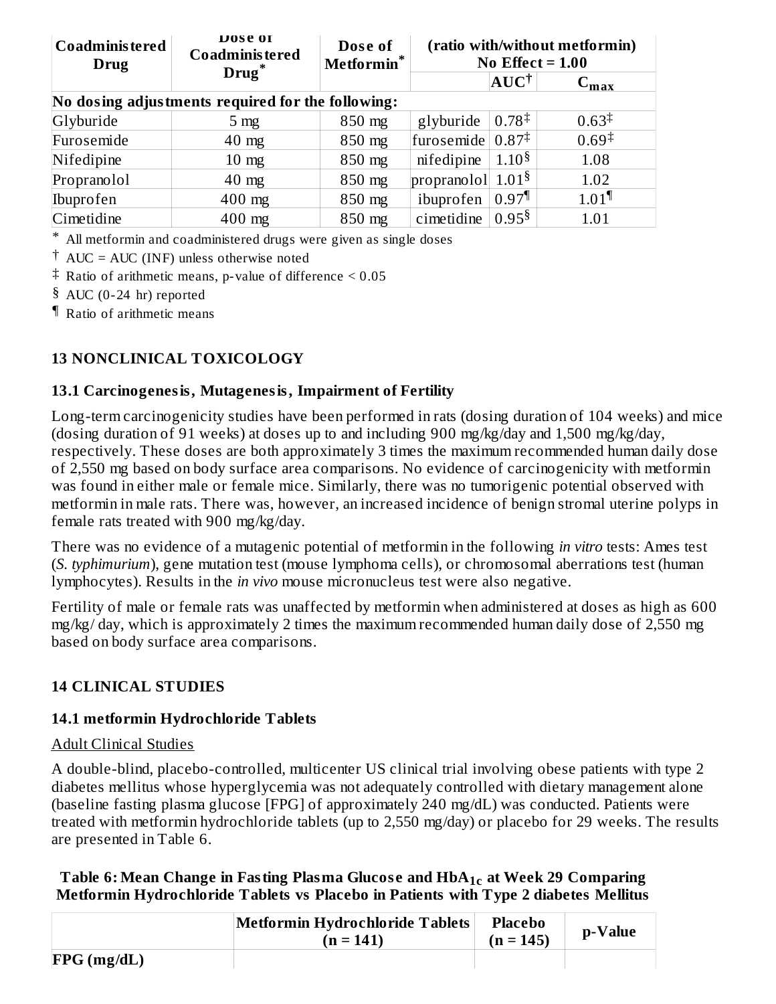| Coadminis tered<br>Drug | DOSE OI<br>Coadministered                         | Dose of<br>Metformin* | (ratio with/without metformin)<br>No Effect = $1.00$ |                     |                     |  |  |  |
|-------------------------|---------------------------------------------------|-----------------------|------------------------------------------------------|---------------------|---------------------|--|--|--|
|                         | Drug <sup>*</sup>                                 |                       |                                                      | $AUC^{\dagger}$     | $C_{\text{max}}$    |  |  |  |
|                         | No dosing adjustments required for the following: |                       |                                                      |                     |                     |  |  |  |
| Glyburide               | $5 \text{ mg}$                                    | 850 mg                | glyburide                                            | $0.78^{\ddagger}$   | $0.63^{\ddagger}$   |  |  |  |
| Furosemide              | $40 \text{ mg}$                                   | 850 mg                | furosemide                                           | $0.87^{\ddagger}$   | $0.69^{\ddagger}$   |  |  |  |
| Nifedipine              | $10 \text{ mg}$                                   | 850 mg                | nifedipine                                           | 1.10 <sup>8</sup>   | 1.08                |  |  |  |
| Propranolol             | $40 \text{ mg}$                                   | 850 mg                | propranolol $1.01§$                                  |                     | 1.02                |  |  |  |
| Ibuprofen               | 400 mg                                            | 850 mg                | ibuprofen                                            | $0.97$ <sup>1</sup> | $1.01$ <sup>1</sup> |  |  |  |
| Cimetidine              | $400$ mg                                          | 850 mg                | cimetidine                                           | $0.95^{8}$          | 1.01                |  |  |  |

\* All metformin and coadministered drugs were given as single doses

† AUC = AUC (INF) unless otherwise noted

‡ Ratio of arithmetic means, p-value of difference < 0.05

§ AUC (0-24 hr) reported

¶ Ratio of arithmetic means

## **13 NONCLINICAL TOXICOLOGY**

## **13.1 Carcinogenesis, Mutagenesis, Impairment of Fertility**

Long-term carcinogenicity studies have been performed in rats (dosing duration of 104 weeks) and mice (dosing duration of 91 weeks) at doses up to and including 900 mg/kg/day and 1,500 mg/kg/day, respectively. These doses are both approximately 3 times the maximum recommended human daily dose of 2,550 mg based on body surface area comparisons. No evidence of carcinogenicity with metformin was found in either male or female mice. Similarly, there was no tumorigenic potential observed with metformin in male rats. There was, however, an increased incidence of benign stromal uterine polyps in female rats treated with 900 mg/kg/day.

There was no evidence of a mutagenic potential of metformin in the following *in vitro* tests: Ames test (*S. typhimurium*), gene mutation test (mouse lymphoma cells), or chromosomal aberrations test (human lymphocytes). Results in the *in vivo* mouse micronucleus test were also negative.

Fertility of male or female rats was unaffected by metformin when administered at doses as high as 600 mg/kg/ day, which is approximately 2 times the maximum recommended human daily dose of 2,550 mg based on body surface area comparisons.

## **14 CLINICAL STUDIES**

#### **14.1 metformin Hydrochloride Tablets**

#### Adult Clinical Studies

A double-blind, placebo-controlled, multicenter US clinical trial involving obese patients with type 2 diabetes mellitus whose hyperglycemia was not adequately controlled with dietary management alone (baseline fasting plasma glucose [FPG] of approximately 240 mg/dL) was conducted. Patients were treated with metformin hydrochloride tablets (up to 2,550 mg/day) or placebo for 29 weeks. The results are presented in Table 6.

#### **Table 6: Mean Change in Fasting Plasma Glucos e and HbA at Week 29 Comparing 1cMetformin Hydrochloride Tablets vs Placebo in Patients with Type 2 diabetes Mellitus**

|            | Metformin Hydrochloride Tablets<br>$(n = 141)$ | <b>Placebo</b><br>$(n = 145)$ | p-Value |
|------------|------------------------------------------------|-------------------------------|---------|
| FPG(mg/dL) |                                                |                               |         |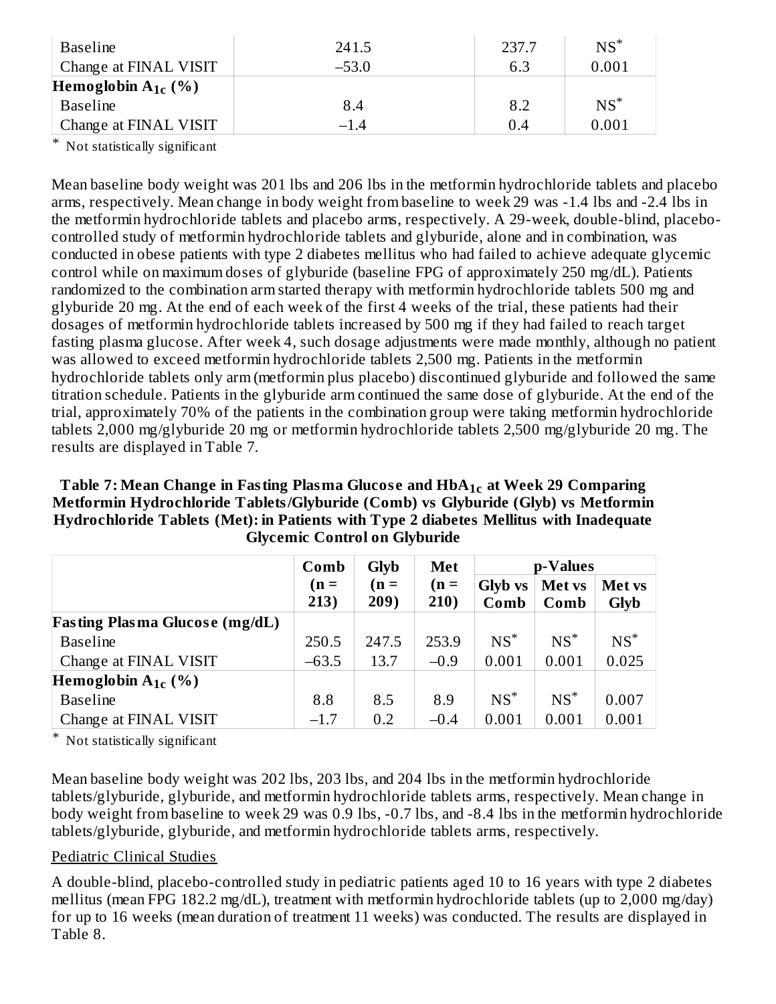| <b>Baseline</b>         | 241.5   | 237.7 | $NS^*$ |
|-------------------------|---------|-------|--------|
| Change at FINAL VISIT   | $-53.0$ | 6.3   | 0.001  |
| Hemoglobin $A_{1c}$ (%) |         |       |        |
| <b>Baseline</b>         | 8.4     | 8.2   | $NS^*$ |
| Change at FINAL VISIT   | $-1.4$  | 0.4   | 0.001  |

\* Not statistically significant

Mean baseline body weight was 201 lbs and 206 lbs in the metformin hydrochloride tablets and placebo arms, respectively. Mean change in body weight from baseline to week 29 was -1.4 lbs and -2.4 lbs in the metformin hydrochloride tablets and placebo arms, respectively. A 29-week, double-blind, placebocontrolled study of metformin hydrochloride tablets and glyburide, alone and in combination, was conducted in obese patients with type 2 diabetes mellitus who had failed to achieve adequate glycemic control while on maximum doses of glyburide (baseline FPG of approximately 250 mg/dL). Patients randomized to the combination arm started therapy with metformin hydrochloride tablets 500 mg and glyburide 20 mg. At the end of each week of the first 4 weeks of the trial, these patients had their dosages of metformin hydrochloride tablets increased by 500 mg if they had failed to reach target fasting plasma glucose. After week 4, such dosage adjustments were made monthly, although no patient was allowed to exceed metformin hydrochloride tablets 2,500 mg. Patients in the metformin hydrochloride tablets only arm (metformin plus placebo) discontinued glyburide and followed the same titration schedule. Patients in the glyburide arm continued the same dose of glyburide. At the end of the trial, approximately 70% of the patients in the combination group were taking metformin hydrochloride tablets 2,000 mg/glyburide 20 mg or metformin hydrochloride tablets 2,500 mg/glyburide 20 mg. The results are displayed in Table 7.

#### **Table 7: Mean Change in Fasting Plasma Glucos e and HbA at Week 29 Comparing 1c Metformin Hydrochloride Tablets/Glyburide (Comb) vs Glyburide (Glyb) vs Metformin Hydrochloride Tablets (Met): in Patients with Type 2 diabetes Mellitus with Inadequate Glycemic Control on Glyburide**

|                                       | Comb           | Glyb           | Met            | p-Values        |                       |                |
|---------------------------------------|----------------|----------------|----------------|-----------------|-----------------------|----------------|
|                                       | $(n =$<br>213) | $(n =$<br>209) | $(n =$<br>210) | Glyb vs<br>Comb | <b>Met vs</b><br>Comb | Met vs<br>Glyb |
| <b>Fasting Plasma Glucose (mg/dL)</b> |                |                |                |                 |                       |                |
| <b>Baseline</b>                       | 250.5          | 247.5          | 253.9          | $NS^*$          | $NS^*$                | $NS^*$         |
| Change at FINAL VISIT                 | $-63.5$        | 13.7           | $-0.9$         | 0.001           | 0.001                 | 0.025          |
| Hemoglobin $A_{1c}$ (%)               |                |                |                |                 |                       |                |
| <b>Baseline</b>                       | 8.8            | 8.5            | 8.9            | $NS^*$          | $NS^*$                | 0.007          |
| Change at FINAL VISIT                 | $-1.7$         | 0.2            | $-0.4$         | 0.001           | 0.001                 | 0.001          |

\* Not statistically significant

Mean baseline body weight was 202 lbs, 203 lbs, and 204 lbs in the metformin hydrochloride tablets/glyburide, glyburide, and metformin hydrochloride tablets arms, respectively. Mean change in body weight from baseline to week 29 was 0.9 lbs, -0.7 lbs, and -8.4 lbs in the metformin hydrochloride tablets/glyburide, glyburide, and metformin hydrochloride tablets arms, respectively.

#### Pediatric Clinical Studies

A double-blind, placebo-controlled study in pediatric patients aged 10 to 16 years with type 2 diabetes mellitus (mean FPG 182.2 mg/dL), treatment with metformin hydrochloride tablets (up to 2,000 mg/day) for up to 16 weeks (mean duration of treatment 11 weeks) was conducted. The results are displayed in Table 8.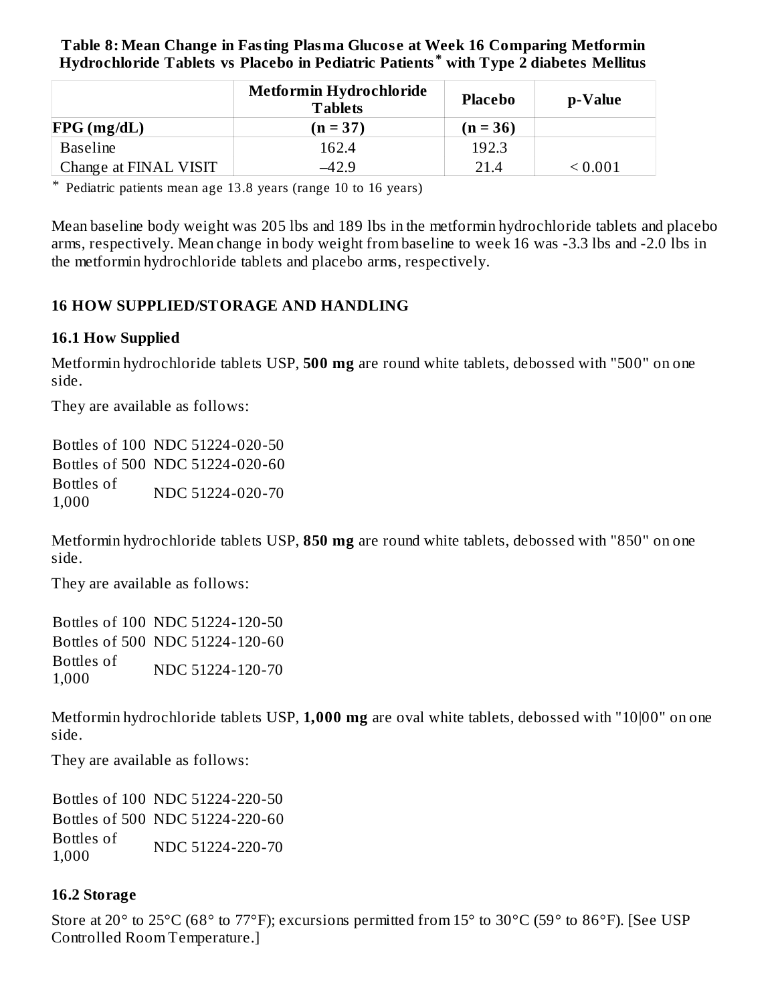**Table 8: Mean Change in Fasting Plasma Glucos e at Week 16 Comparing Metformin Hydrochloride Tablets vs Placebo in Pediatric Patients with Type 2 diabetes Mellitus \***

|                       | <b>Metformin Hydrochloride</b><br><b>Tablets</b> | <b>Placebo</b> | p-Value      |
|-----------------------|--------------------------------------------------|----------------|--------------|
| FPG(mg/dL)            | $(n = 37)$                                       | $(n = 36)$     |              |
| <b>Baseline</b>       | 162.4                                            | 192.3          |              |
| Change at FINAL VISIT | $-42.9$                                          | 21.4           | $\leq 0.001$ |

\* Pediatric patients mean age 13.8 years (range 10 to 16 years)

Mean baseline body weight was 205 lbs and 189 lbs in the metformin hydrochloride tablets and placebo arms, respectively. Mean change in body weight from baseline to week 16 was -3.3 lbs and -2.0 lbs in the metformin hydrochloride tablets and placebo arms, respectively.

### **16 HOW SUPPLIED/STORAGE AND HANDLING**

#### **16.1 How Supplied**

Metformin hydrochloride tablets USP, **500 mg** are round white tablets, debossed with "500" on one side.

They are available as follows:

Bottles of 100 NDC 51224-020-50 Bottles of 500 NDC 51224-020-60 Bottles of 1,000 NDC 51224-020-70

Metformin hydrochloride tablets USP, **850 mg** are round white tablets, debossed with "850" on one side.

They are available as follows:

Bottles of 100 NDC 51224-120-50 Bottles of 500 NDC 51224-120-60 Bottles of 1,000 NDC 51224-120-70

Metformin hydrochloride tablets USP, **1,000 mg** are oval white tablets, debossed with "10|00" on one side.

They are available as follows:

Bottles of 100 NDC 51224-220-50 Bottles of 500 NDC 51224-220-60 Bottles of 1,000 NDC 51224-220-70

#### **16.2 Storage**

Store at 20° to 25°C (68° to 77°F); excursions permitted from 15° to 30°C (59° to 86°F). [See USP Controlled Room Temperature.]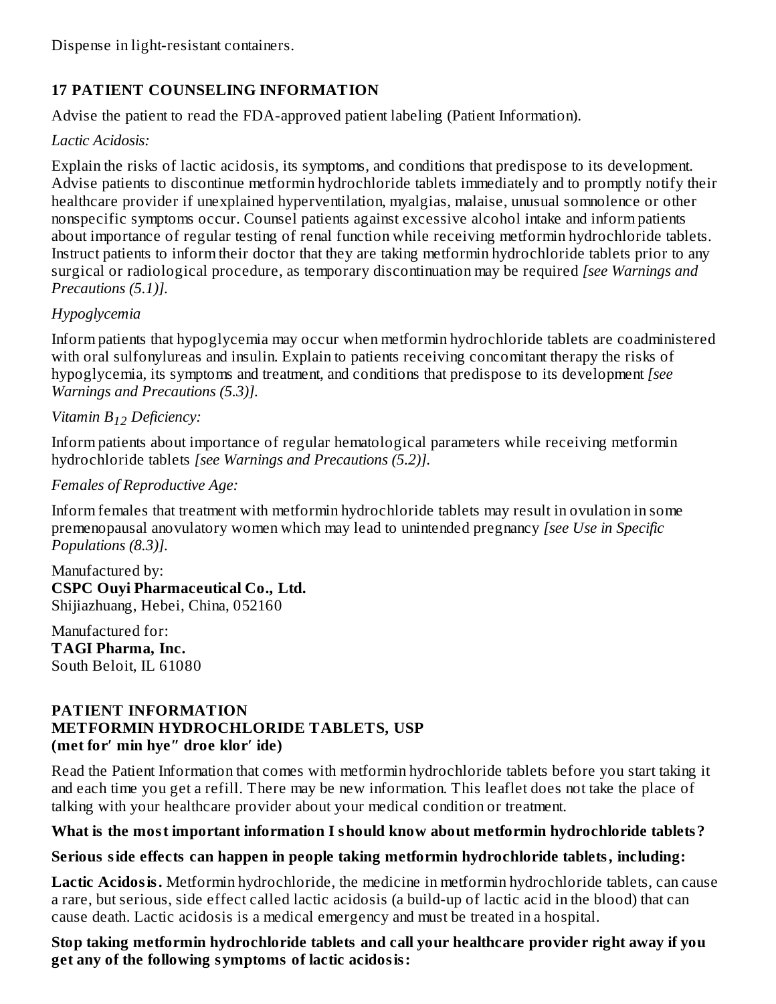# **17 PATIENT COUNSELING INFORMATION**

Advise the patient to read the FDA-approved patient labeling (Patient Information).

## *Lactic Acidosis:*

Explain the risks of lactic acidosis, its symptoms, and conditions that predispose to its development. Advise patients to discontinue metformin hydrochloride tablets immediately and to promptly notify their healthcare provider if unexplained hyperventilation, myalgias, malaise, unusual somnolence or other nonspecific symptoms occur. Counsel patients against excessive alcohol intake and inform patients about importance of regular testing of renal function while receiving metformin hydrochloride tablets. Instruct patients to inform their doctor that they are taking metformin hydrochloride tablets prior to any surgical or radiological procedure, as temporary discontinuation may be required *[see Warnings and Precautions (5.1)].*

## *Hypoglycemia*

Inform patients that hypoglycemia may occur when metformin hydrochloride tablets are coadministered with oral sulfonylureas and insulin. Explain to patients receiving concomitant therapy the risks of hypoglycemia, its symptoms and treatment, and conditions that predispose to its development *[see Warnings and Precautions (5.3)].*

# *Vitamin B Deficiency: 12*

Inform patients about importance of regular hematological parameters while receiving metformin hydrochloride tablets *[see Warnings and Precautions (5.2)].*

## *Females of Reproductive Age:*

Inform females that treatment with metformin hydrochloride tablets may result in ovulation in some premenopausal anovulatory women which may lead to unintended pregnancy *[see Use in Specific Populations (8.3)].*

Manufactured by: **CSPC Ouyi Pharmaceutical Co., Ltd.** Shijiazhuang, Hebei, China, 052160

Manufactured for: **TAGI Pharma, Inc.** South Beloit, IL 61080

## **PATIENT INFORMATION METFORMIN HYDROCHLORIDE TABLETS, USP (met for′ min hye″ droe klor′ ide)**

Read the Patient Information that comes with metformin hydrochloride tablets before you start taking it and each time you get a refill. There may be new information. This leaflet does not take the place of talking with your healthcare provider about your medical condition or treatment.

# **What is the most important information I should know about metformin hydrochloride tablets?**

# **Serious side effects can happen in people taking metformin hydrochloride tablets, including:**

**Lactic Acidosis.** Metformin hydrochloride, the medicine in metformin hydrochloride tablets, can cause a rare, but serious, side effect called lactic acidosis (a build-up of lactic acid in the blood) that can cause death. Lactic acidosis is a medical emergency and must be treated in a hospital.

## **Stop taking metformin hydrochloride tablets and call your healthcare provider right away if you get any of the following symptoms of lactic acidosis:**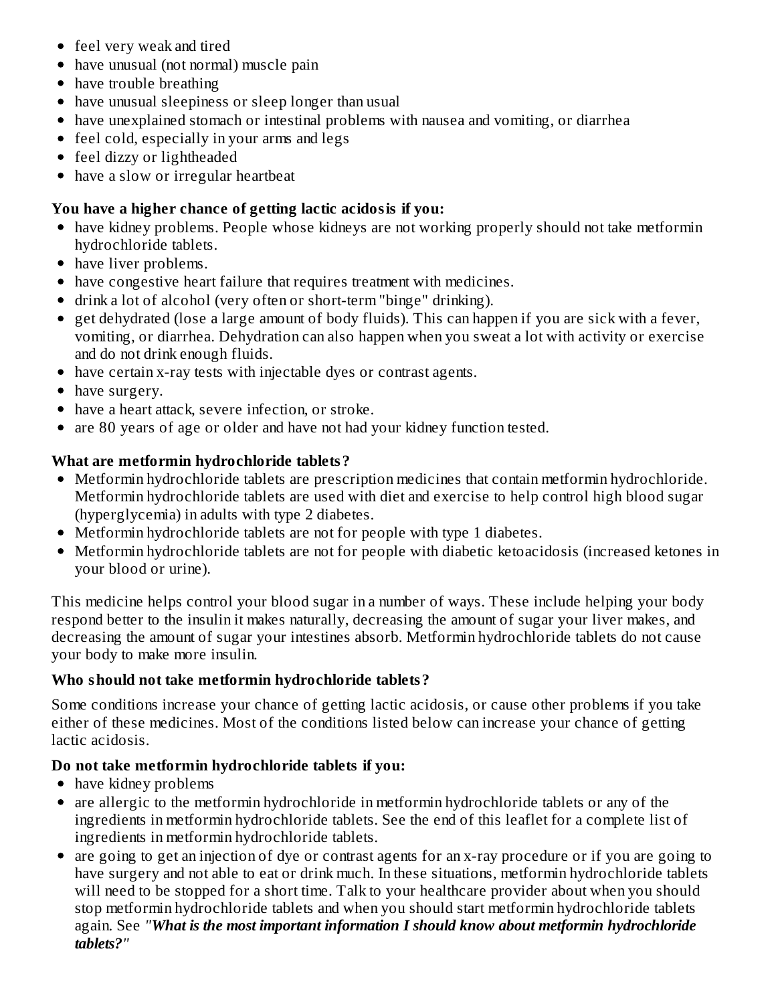- feel very weak and tired
- have unusual (not normal) muscle pain
- have trouble breathing
- have unusual sleepiness or sleep longer than usual
- have unexplained stomach or intestinal problems with nausea and vomiting, or diarrhea
- feel cold, especially in your arms and legs
- feel dizzy or lightheaded
- have a slow or irregular heartbeat

## **You have a higher chance of getting lactic acidosis if you:**

- have kidney problems. People whose kidneys are not working properly should not take metformin hydrochloride tablets.
- have liver problems.
- have congestive heart failure that requires treatment with medicines.
- drink a lot of alcohol (very often or short-term "binge" drinking).
- get dehydrated (lose a large amount of body fluids). This can happen if you are sick with a fever, vomiting, or diarrhea. Dehydration can also happen when you sweat a lot with activity or exercise and do not drink enough fluids.
- have certain x-ray tests with injectable dyes or contrast agents.
- have surgery.
- have a heart attack, severe infection, or stroke.
- are 80 years of age or older and have not had your kidney function tested.

## **What are metformin hydrochloride tablets?**

- Metformin hydrochloride tablets are prescription medicines that contain metformin hydrochloride. Metformin hydrochloride tablets are used with diet and exercise to help control high blood sugar (hyperglycemia) in adults with type 2 diabetes.
- Metformin hydrochloride tablets are not for people with type 1 diabetes.
- Metformin hydrochloride tablets are not for people with diabetic ketoacidosis (increased ketones in your blood or urine).

This medicine helps control your blood sugar in a number of ways. These include helping your body respond better to the insulin it makes naturally, decreasing the amount of sugar your liver makes, and decreasing the amount of sugar your intestines absorb. Metformin hydrochloride tablets do not cause your body to make more insulin.

## **Who should not take metformin hydrochloride tablets?**

Some conditions increase your chance of getting lactic acidosis, or cause other problems if you take either of these medicines. Most of the conditions listed below can increase your chance of getting lactic acidosis.

## **Do not take metformin hydrochloride tablets if you:**

- have kidney problems
- are allergic to the metformin hydrochloride in metformin hydrochloride tablets or any of the ingredients in metformin hydrochloride tablets. See the end of this leaflet for a complete list of ingredients in metformin hydrochloride tablets.
- are going to get an injection of dye or contrast agents for an x-ray procedure or if you are going to have surgery and not able to eat or drink much. In these situations, metformin hydrochloride tablets will need to be stopped for a short time. Talk to your healthcare provider about when you should stop metformin hydrochloride tablets and when you should start metformin hydrochloride tablets again. See *"What is the most important information I should know about metformin hydrochloride tablets?"*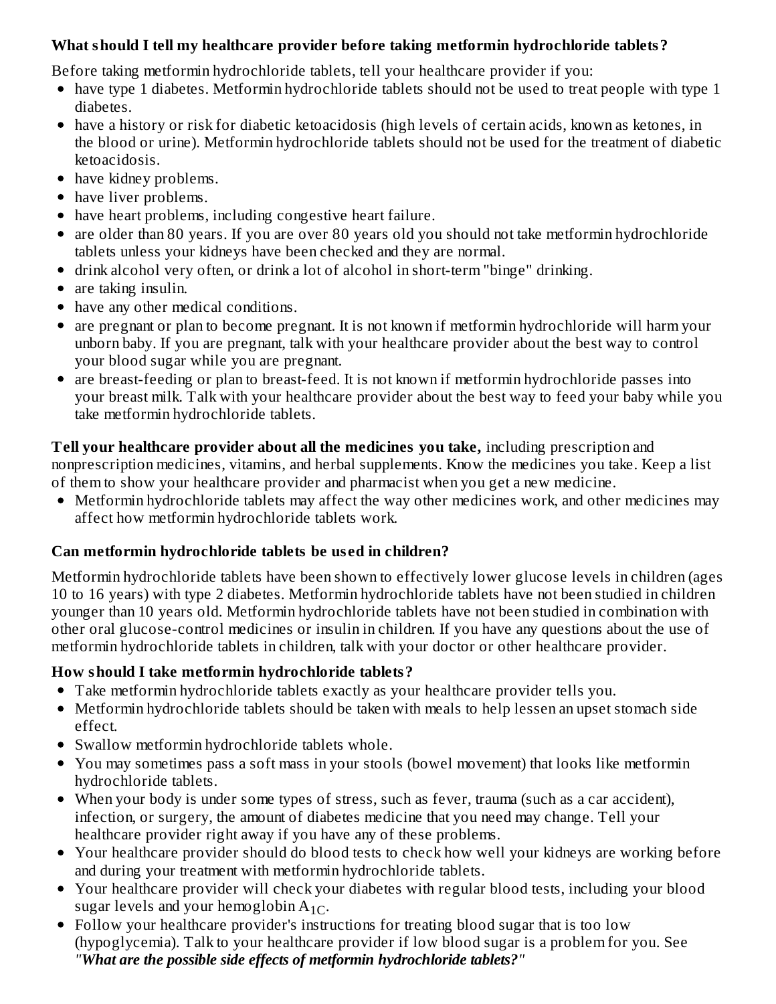## **What should I tell my healthcare provider before taking metformin hydrochloride tablets?**

Before taking metformin hydrochloride tablets, tell your healthcare provider if you:

- have type 1 diabetes. Metformin hydrochloride tablets should not be used to treat people with type 1 diabetes.
- have a history or risk for diabetic ketoacidosis (high levels of certain acids, known as ketones, in the blood or urine). Metformin hydrochloride tablets should not be used for the treatment of diabetic ketoacidosis.
- have kidney problems.
- have liver problems.
- have heart problems, including congestive heart failure.
- are older than 80 years. If you are over 80 years old you should not take metformin hydrochloride tablets unless your kidneys have been checked and they are normal.
- drink alcohol very often, or drink a lot of alcohol in short-term "binge" drinking.
- are taking insulin.
- have any other medical conditions.
- are pregnant or plan to become pregnant. It is not known if metformin hydrochloride will harm your unborn baby. If you are pregnant, talk with your healthcare provider about the best way to control your blood sugar while you are pregnant.
- are breast-feeding or plan to breast-feed. It is not known if metformin hydrochloride passes into your breast milk. Talk with your healthcare provider about the best way to feed your baby while you take metformin hydrochloride tablets.

**Tell your healthcare provider about all the medicines you take,** including prescription and nonprescription medicines, vitamins, and herbal supplements. Know the medicines you take. Keep a list of them to show your healthcare provider and pharmacist when you get a new medicine.

Metformin hydrochloride tablets may affect the way other medicines work, and other medicines may affect how metformin hydrochloride tablets work.

## **Can metformin hydrochloride tablets be us ed in children?**

Metformin hydrochloride tablets have been shown to effectively lower glucose levels in children (ages 10 to 16 years) with type 2 diabetes. Metformin hydrochloride tablets have not been studied in children younger than 10 years old. Metformin hydrochloride tablets have not been studied in combination with other oral glucose-control medicines or insulin in children. If you have any questions about the use of metformin hydrochloride tablets in children, talk with your doctor or other healthcare provider.

## **How should I take metformin hydrochloride tablets?**

- Take metformin hydrochloride tablets exactly as your healthcare provider tells you.
- Metformin hydrochloride tablets should be taken with meals to help lessen an upset stomach side effect.
- Swallow metformin hydrochloride tablets whole.
- You may sometimes pass a soft mass in your stools (bowel movement) that looks like metformin hydrochloride tablets.
- When your body is under some types of stress, such as fever, trauma (such as a car accident), infection, or surgery, the amount of diabetes medicine that you need may change. Tell your healthcare provider right away if you have any of these problems.
- Your healthcare provider should do blood tests to check how well your kidneys are working before and during your treatment with metformin hydrochloride tablets.
- Your healthcare provider will check your diabetes with regular blood tests, including your blood sugar levels and your hemoglobin  $A_{1C}$ .
- Follow your healthcare provider's instructions for treating blood sugar that is too low (hypoglycemia). Talk to your healthcare provider if low blood sugar is a problem for you. See *"What are the possible side effects of metformin hydrochloride tablets?"*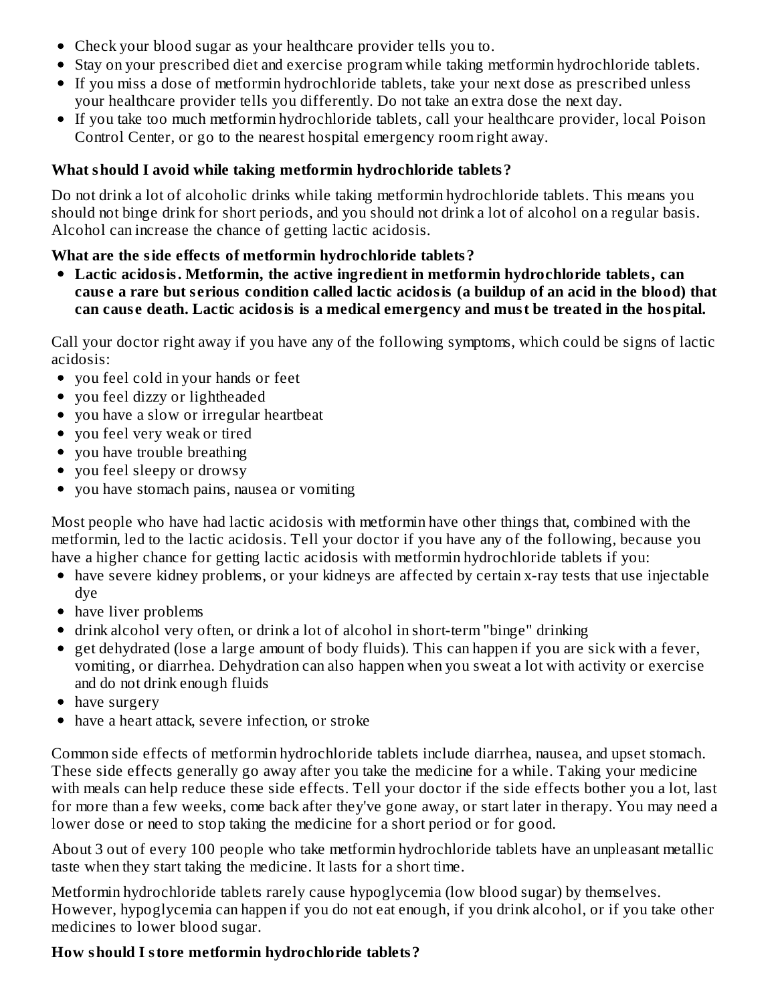- Check your blood sugar as your healthcare provider tells you to.
- Stay on your prescribed diet and exercise program while taking metformin hydrochloride tablets.
- If you miss a dose of metformin hydrochloride tablets, take your next dose as prescribed unless your healthcare provider tells you differently. Do not take an extra dose the next day.
- If you take too much metformin hydrochloride tablets, call your healthcare provider, local Poison Control Center, or go to the nearest hospital emergency room right away.

## **What should I avoid while taking metformin hydrochloride tablets?**

Do not drink a lot of alcoholic drinks while taking metformin hydrochloride tablets. This means you should not binge drink for short periods, and you should not drink a lot of alcohol on a regular basis. Alcohol can increase the chance of getting lactic acidosis.

## **What are the side effects of metformin hydrochloride tablets?**

**Lactic acidosis. Metformin, the active ingredient in metformin hydrochloride tablets, can** cause a rare but serious condition called lactic acidosis (a buildup of an acid in the blood) that **can caus e death. Lactic acidosis is a medical emergency and must be treated in the hospital.**

Call your doctor right away if you have any of the following symptoms, which could be signs of lactic acidosis:

- you feel cold in your hands or feet
- you feel dizzy or lightheaded
- you have a slow or irregular heartbeat
- you feel very weak or tired
- you have trouble breathing
- you feel sleepy or drowsy
- you have stomach pains, nausea or vomiting  $\bullet$

Most people who have had lactic acidosis with metformin have other things that, combined with the metformin, led to the lactic acidosis. Tell your doctor if you have any of the following, because you have a higher chance for getting lactic acidosis with metformin hydrochloride tablets if you:

- have severe kidney problems, or your kidneys are affected by certain x-ray tests that use injectable dye
- have liver problems
- drink alcohol very often, or drink a lot of alcohol in short-term "binge" drinking
- get dehydrated (lose a large amount of body fluids). This can happen if you are sick with a fever, vomiting, or diarrhea. Dehydration can also happen when you sweat a lot with activity or exercise and do not drink enough fluids
- have surgery
- have a heart attack, severe infection, or stroke

Common side effects of metformin hydrochloride tablets include diarrhea, nausea, and upset stomach. These side effects generally go away after you take the medicine for a while. Taking your medicine with meals can help reduce these side effects. Tell your doctor if the side effects bother you a lot, last for more than a few weeks, come back after they've gone away, or start later in therapy. You may need a lower dose or need to stop taking the medicine for a short period or for good.

About 3 out of every 100 people who take metformin hydrochloride tablets have an unpleasant metallic taste when they start taking the medicine. It lasts for a short time.

Metformin hydrochloride tablets rarely cause hypoglycemia (low blood sugar) by themselves. However, hypoglycemia can happen if you do not eat enough, if you drink alcohol, or if you take other medicines to lower blood sugar.

## **How should I store metformin hydrochloride tablets?**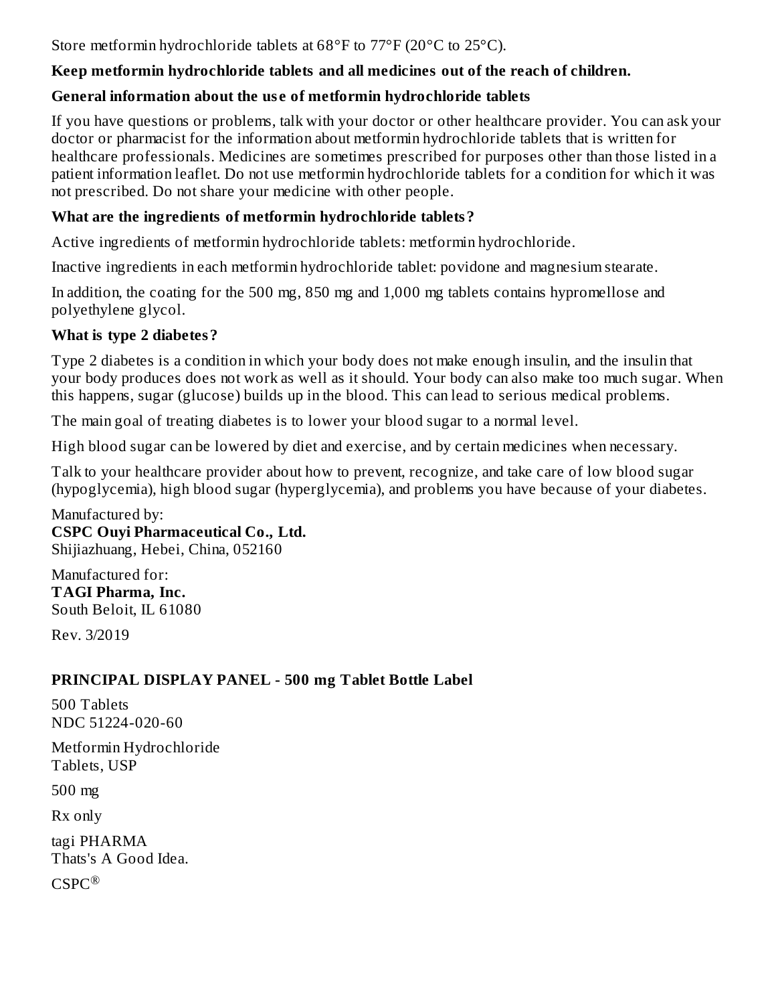## Store metformin hydrochloride tablets at 68°F to 77°F (20°C to 25°C).

## **Keep metformin hydrochloride tablets and all medicines out of the reach of children.**

## **General information about the us e of metformin hydrochloride tablets**

If you have questions or problems, talk with your doctor or other healthcare provider. You can ask your doctor or pharmacist for the information about metformin hydrochloride tablets that is written for healthcare professionals. Medicines are sometimes prescribed for purposes other than those listed in a patient information leaflet. Do not use metformin hydrochloride tablets for a condition for which it was not prescribed. Do not share your medicine with other people.

## **What are the ingredients of metformin hydrochloride tablets?**

Active ingredients of metformin hydrochloride tablets: metformin hydrochloride.

Inactive ingredients in each metformin hydrochloride tablet: povidone and magnesium stearate.

In addition, the coating for the 500 mg, 850 mg and 1,000 mg tablets contains hypromellose and polyethylene glycol.

## **What is type 2 diabetes?**

Type 2 diabetes is a condition in which your body does not make enough insulin, and the insulin that your body produces does not work as well as it should. Your body can also make too much sugar. When this happens, sugar (glucose) builds up in the blood. This can lead to serious medical problems.

The main goal of treating diabetes is to lower your blood sugar to a normal level.

High blood sugar can be lowered by diet and exercise, and by certain medicines when necessary.

Talk to your healthcare provider about how to prevent, recognize, and take care of low blood sugar (hypoglycemia), high blood sugar (hyperglycemia), and problems you have because of your diabetes.

Manufactured by: **CSPC Ouyi Pharmaceutical Co., Ltd.** Shijiazhuang, Hebei, China, 052160

Manufactured for: **TAGI Pharma, Inc.** South Beloit, IL 61080

Rev. 3/2019

## **PRINCIPAL DISPLAY PANEL - 500 mg Tablet Bottle Label**

500 Tablets NDC 51224-020-60

Metformin Hydrochloride Tablets, USP

500 mg

Rx only

tagi PHARMA Thats's A Good Idea.

CSPC®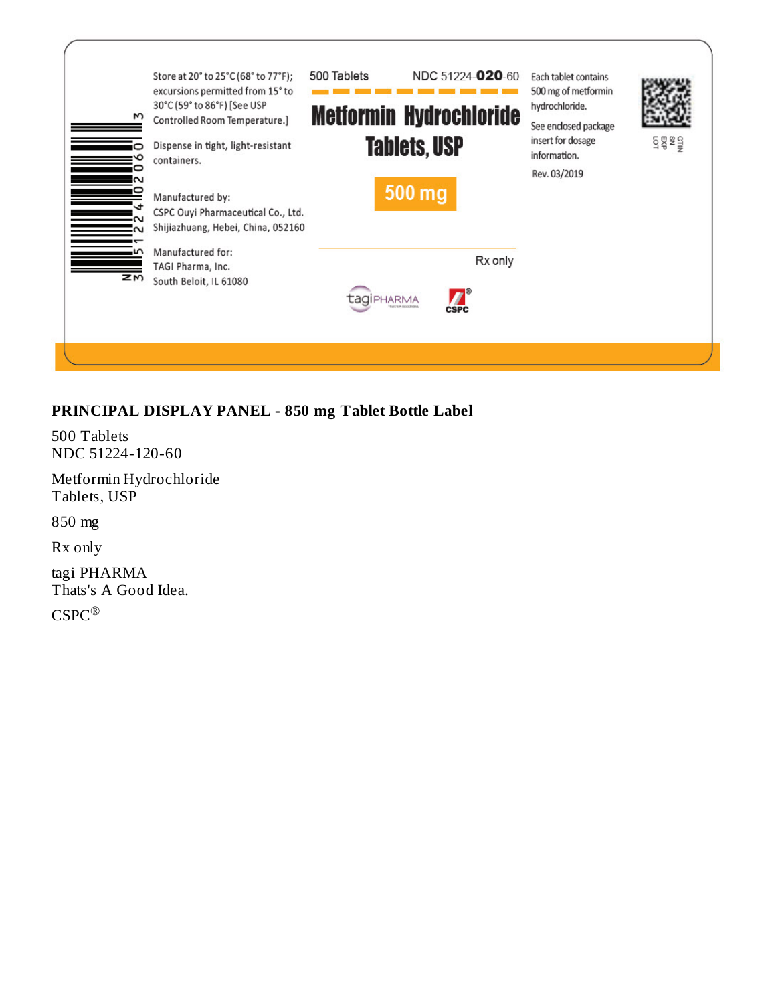

## **PRINCIPAL DISPLAY PANEL - 850 mg Tablet Bottle Label**

500 Tablets NDC 51224-120-60

Metformin Hydrochloride Tablets, USP

850 mg

Rx only

tagi PHARMA Thats's A Good Idea.

CSPC®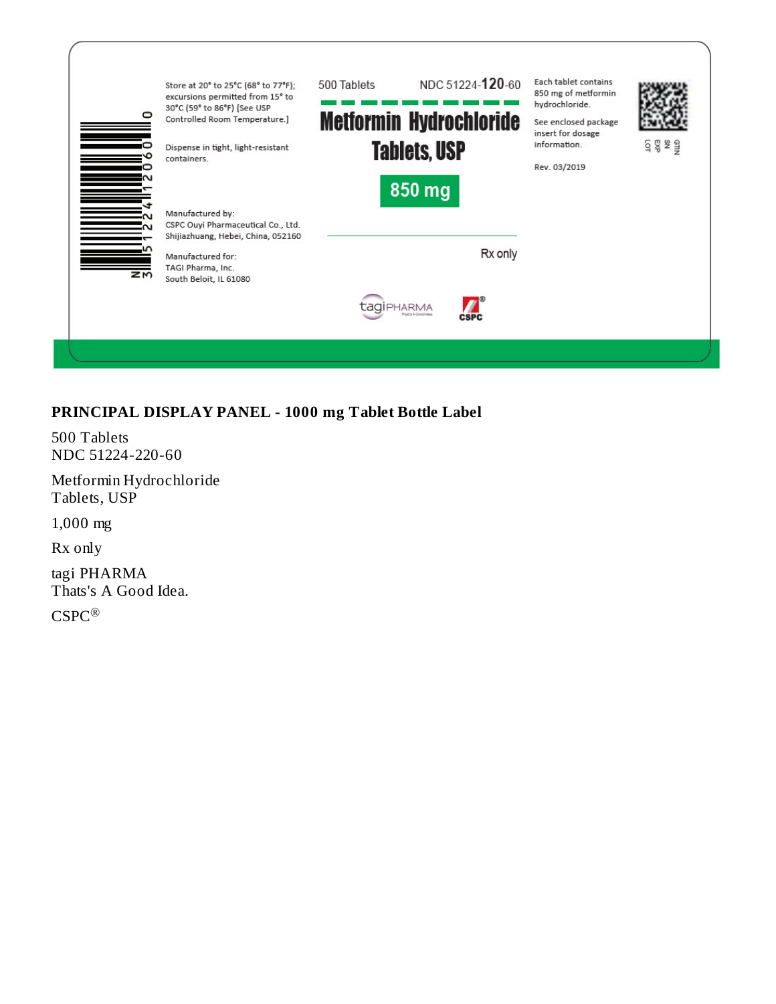

## **PRINCIPAL DISPLAY PANEL - 1000 mg Tablet Bottle Label**

500 Tablets NDC 51224-220-60

Metformin Hydrochloride Tablets, USP

1,000 mg

Rx only

tagi PHARMA Thats's A Good Idea.

CSPC®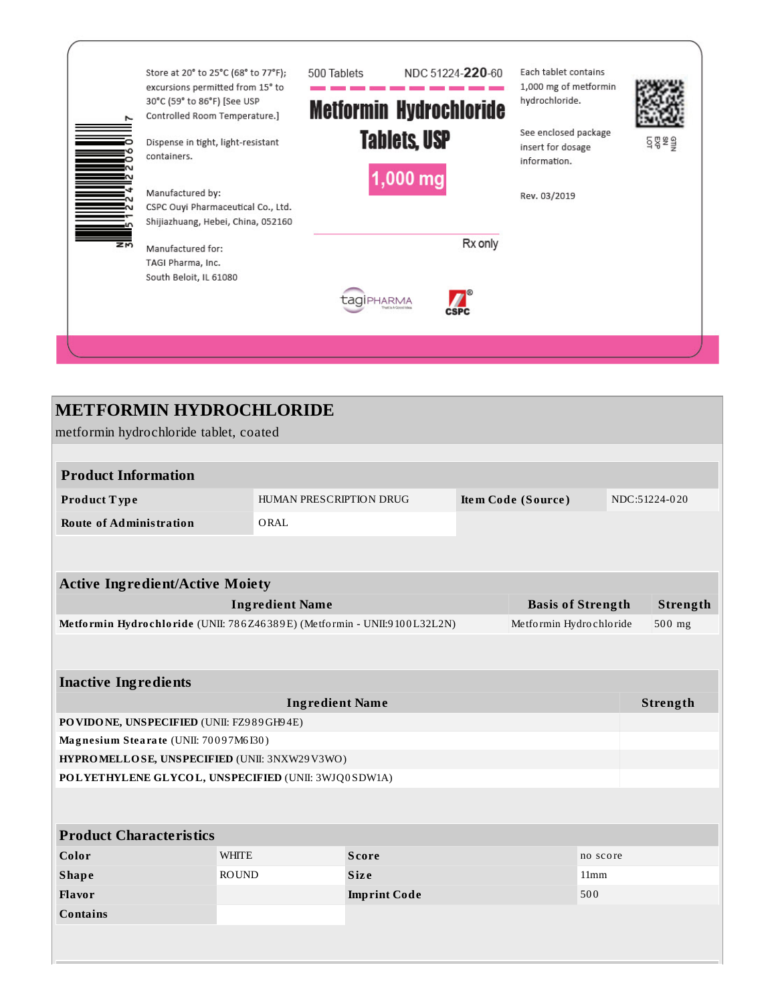| Store at 20° to 25°C (68° to 77°F);<br>excursions permitted from 15° to<br>30°C (59° to 86°F) [See USP<br>Controlled Room Temperature.]<br>Dispense in tight, light-resistant<br>containers. | NDC 51224-220-60<br>500 Tablets<br><b>Metformin Hydrochloride</b><br><b>Tablets, USP</b> | Each tablet contains<br>1,000 mg of metformin<br>hydrochloride.<br>See enclosed package<br>insert for dosage<br>information. | ខីនិនថិ |
|----------------------------------------------------------------------------------------------------------------------------------------------------------------------------------------------|------------------------------------------------------------------------------------------|------------------------------------------------------------------------------------------------------------------------------|---------|
| Manufactured by:<br>CSPC Ouyi Pharmaceutical Co., Ltd.<br>Shijiazhuang, Hebei, China, 052160<br>Manufactured for:<br>TAGI Pharma, Inc.<br>South Beloit, IL 61080                             | $1,000$ mg<br>Rx only                                                                    | Rev. 03/2019                                                                                                                 |         |
|                                                                                                                                                                                              | <b>IIPHARMA</b>                                                                          |                                                                                                                              |         |
|                                                                                                                                                                                              |                                                                                          |                                                                                                                              |         |

| <b>Product Information</b><br>Product Type<br><b>Route of Administration</b> |                                                                |                     |  |                          |     |                                        |  |  |  |  |  |  |
|------------------------------------------------------------------------------|----------------------------------------------------------------|---------------------|--|--------------------------|-----|----------------------------------------|--|--|--|--|--|--|
|                                                                              |                                                                |                     |  |                          |     | metformin hydrochloride tablet, coated |  |  |  |  |  |  |
|                                                                              |                                                                |                     |  |                          |     |                                        |  |  |  |  |  |  |
|                                                                              |                                                                |                     |  |                          |     |                                        |  |  |  |  |  |  |
|                                                                              | HUMAN PRESCRIPTION DRUG<br>Item Code (Source)<br>NDC:51224-020 |                     |  |                          |     |                                        |  |  |  |  |  |  |
|                                                                              | ORAL                                                           |                     |  |                          |     |                                        |  |  |  |  |  |  |
|                                                                              |                                                                |                     |  |                          |     |                                        |  |  |  |  |  |  |
|                                                                              |                                                                |                     |  |                          |     |                                        |  |  |  |  |  |  |
| <b>Active Ingredient/Active Moiety</b>                                       |                                                                |                     |  |                          |     |                                        |  |  |  |  |  |  |
|                                                                              | <b>Ingredient Name</b>                                         |                     |  | <b>Basis of Strength</b> |     | Strength                               |  |  |  |  |  |  |
| Metformin Hydrochloride (UNII: 786Z46389E) (Metformin - UNII:9100L32L2N)     |                                                                |                     |  | Metformin Hydrochloride  |     | 500 mg                                 |  |  |  |  |  |  |
|                                                                              |                                                                |                     |  |                          |     |                                        |  |  |  |  |  |  |
| <b>Inactive Ingredients</b>                                                  |                                                                |                     |  |                          |     |                                        |  |  |  |  |  |  |
| <b>Ingredient Name</b><br>Strength                                           |                                                                |                     |  |                          |     |                                        |  |  |  |  |  |  |
| PO VIDONE, UNSPECIFIED (UNII: FZ989GH94E)                                    |                                                                |                     |  |                          |     |                                        |  |  |  |  |  |  |
| Magnesium Stearate (UNII: 70097M6I30)                                        |                                                                |                     |  |                          |     |                                        |  |  |  |  |  |  |
| HYPROMELLOSE, UNSPECIFIED (UNII: 3NXW29V3WO)                                 |                                                                |                     |  |                          |     |                                        |  |  |  |  |  |  |
| POLYETHYLENE GLYCOL, UNSPECIFIED (UNII: 3WJQ0SDW1A)                          |                                                                |                     |  |                          |     |                                        |  |  |  |  |  |  |
|                                                                              |                                                                |                     |  |                          |     |                                        |  |  |  |  |  |  |
|                                                                              |                                                                |                     |  |                          |     |                                        |  |  |  |  |  |  |
| <b>Product Characteristics</b>                                               |                                                                |                     |  |                          |     |                                        |  |  |  |  |  |  |
| <b>WHITE</b><br>Color                                                        | <b>Score</b><br>no score                                       |                     |  |                          |     |                                        |  |  |  |  |  |  |
| <b>ROUND</b><br><b>Shape</b>                                                 | <b>Size</b><br>11mm                                            |                     |  |                          |     |                                        |  |  |  |  |  |  |
| Flavor                                                                       |                                                                | <b>Imprint Code</b> |  |                          | 500 |                                        |  |  |  |  |  |  |
| <b>Contains</b>                                                              |                                                                |                     |  |                          |     |                                        |  |  |  |  |  |  |
|                                                                              |                                                                |                     |  |                          |     |                                        |  |  |  |  |  |  |

۱.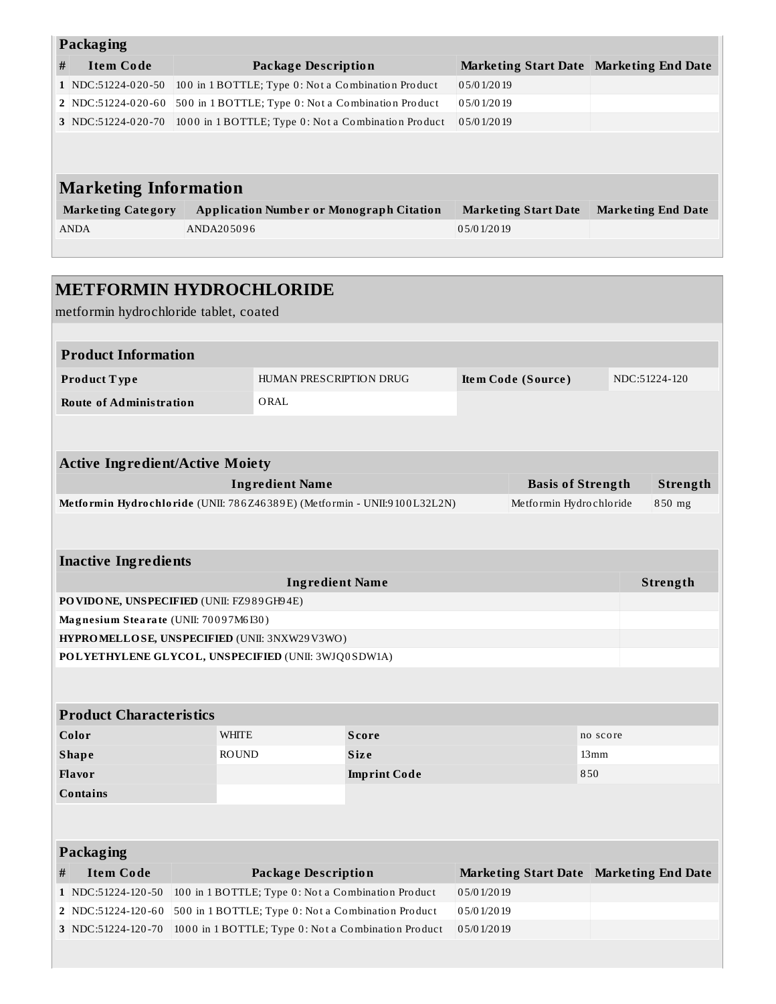|                                        | Packaging                    |                                                     |                                         |                           |  |  |  |
|----------------------------------------|------------------------------|-----------------------------------------------------|-----------------------------------------|---------------------------|--|--|--|
| #                                      | <b>Item Code</b>             | <b>Package Description</b>                          | Marketing Start Date Marketing End Date |                           |  |  |  |
|                                        | 1 NDC:51224-020-50           | 100 in 1 BOTTLE; Type 0: Not a Combination Product  | 05/01/2019                              |                           |  |  |  |
|                                        | $2$ NDC:51224-020-60         | 500 in 1 BOTTLE; Type 0: Not a Combination Product  | 05/01/2019                              |                           |  |  |  |
|                                        | 3 NDC:51224-020-70           | 1000 in 1 BOTTLE; Type 0: Not a Combination Product | 05/01/2019                              |                           |  |  |  |
|                                        |                              |                                                     |                                         |                           |  |  |  |
|                                        |                              |                                                     |                                         |                           |  |  |  |
|                                        | <b>Marketing Information</b> |                                                     |                                         |                           |  |  |  |
|                                        | <b>Marketing Category</b>    | <b>Application Number or Monograph Citation</b>     | <b>Marketing Start Date</b>             | <b>Marketing End Date</b> |  |  |  |
|                                        | <b>ANDA</b>                  | ANDA205096                                          | 0.5/0.1/20.19                           |                           |  |  |  |
|                                        |                              |                                                     |                                         |                           |  |  |  |
|                                        |                              |                                                     |                                         |                           |  |  |  |
| <b>METFORMIN HYDROCHLORIDE</b>         |                              |                                                     |                                         |                           |  |  |  |
| metformin hydrochloride tablet, coated |                              |                                                     |                                         |                           |  |  |  |
|                                        |                              |                                                     |                                         |                           |  |  |  |
|                                        | <b>Product Information</b>   |                                                     |                                         |                           |  |  |  |

| <b>Product Type</b>     | HUMAN PRESCRIPTION DRUG | Item Code (Source) | NDC:51224-120 |
|-------------------------|-------------------------|--------------------|---------------|
| Route of Administration | ORAL                    |                    |               |
|                         |                         |                    |               |

| <b>Active Ingredient/Active Moiety</b>                                   |                          |          |  |  |  |  |
|--------------------------------------------------------------------------|--------------------------|----------|--|--|--|--|
| Ingredient Name                                                          | <b>Basis of Strength</b> | Strength |  |  |  |  |
| Metformin Hydrochloride (UNII: 786Z46389E) (Metformin - UNII:9100L32L2N) | Metformin Hydrochloride  | $850$ mg |  |  |  |  |

| <b>Inactive Ingredients</b>                         |          |  |  |  |  |
|-----------------------------------------------------|----------|--|--|--|--|
| <b>Ingredient Name</b>                              | Strength |  |  |  |  |
| <b>PO VIDONE, UNSPECIFIED (UNII: FZ989GH94E)</b>    |          |  |  |  |  |
| Magnesium Stearate (UNII: 70097M6I30)               |          |  |  |  |  |
| <b>HYPROMELLOSE, UNSPECIFIED (UNII: 3NXW29V3WO)</b> |          |  |  |  |  |
| POLYETHYLENE GLYCOL, UNSPECIFIED (UNII: 3WJQ0SDW1A) |          |  |  |  |  |

| <b>Product Characteristics</b> |              |                     |          |  |  |
|--------------------------------|--------------|---------------------|----------|--|--|
| Color                          | WHITE        | Score               | no score |  |  |
| <b>Shape</b>                   | <b>ROUND</b> | <b>Size</b>         | 13mm     |  |  |
| <b>Flavor</b>                  |              | <b>Imprint Code</b> | 850      |  |  |
| <b>Contains</b>                |              |                     |          |  |  |

| <b>Packaging</b> |                                                                        |                                         |  |  |  |  |  |  |
|------------------|------------------------------------------------------------------------|-----------------------------------------|--|--|--|--|--|--|
| <b>Item Code</b> | <b>Package Description</b>                                             | Marketing Start Date Marketing End Date |  |  |  |  |  |  |
|                  | 1 NDC:51224-120-50 100 in 1 BOTTLE; Type 0: Not a Combination Product  | 05/01/2019                              |  |  |  |  |  |  |
|                  | 2 NDC:51224-120-60 500 in 1 BOTTLE; Type 0: Not a Combination Product  | 05/01/2019                              |  |  |  |  |  |  |
|                  | 3 NDC:51224-120-70 1000 in 1 BOTTLE; Type 0: Not a Combination Product | 05/01/2019                              |  |  |  |  |  |  |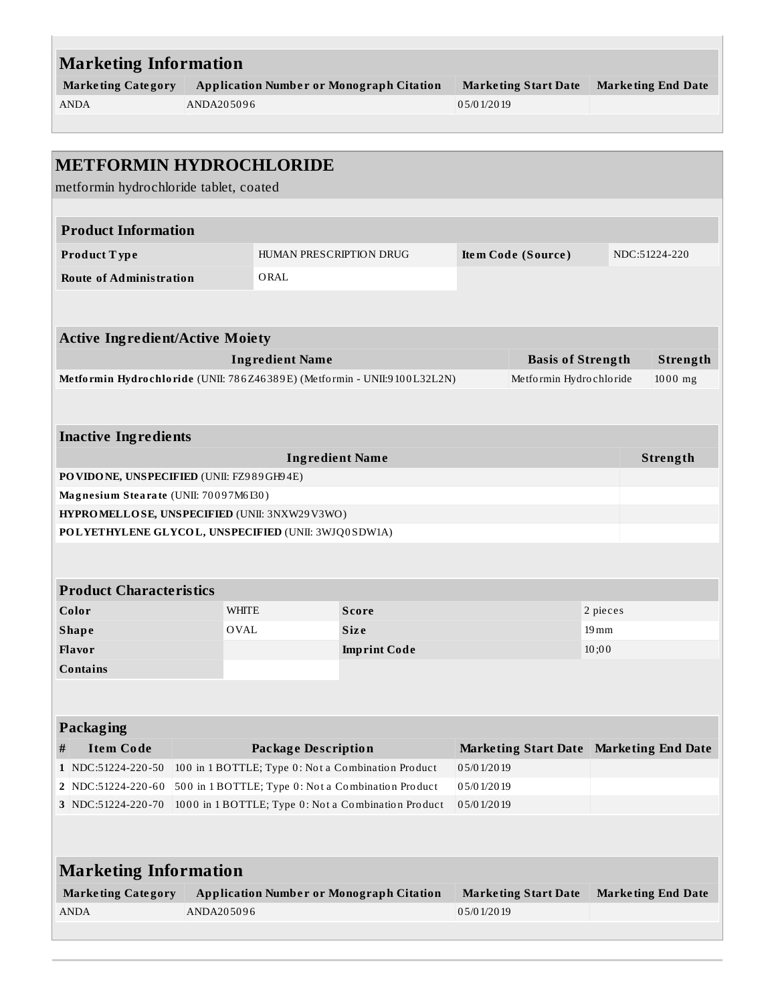| <b>Marketing Information</b> |                                                 |                             |                           |  |  |  |
|------------------------------|-------------------------------------------------|-----------------------------|---------------------------|--|--|--|
| <b>Marketing Category</b>    | <b>Application Number or Monograph Citation</b> | <b>Marketing Start Date</b> | <b>Marketing End Date</b> |  |  |  |
| ANDA                         | ANDA205096                                      | 05/01/2019                  |                           |  |  |  |
|                              |                                                 |                             |                           |  |  |  |

|                                                                           | <b>METFORMIN HYDROCHLORIDE</b><br>metformin hydrochloride tablet, coated |                                                    |                                                     |                                                                          |            |                                         |          |                           |
|---------------------------------------------------------------------------|--------------------------------------------------------------------------|----------------------------------------------------|-----------------------------------------------------|--------------------------------------------------------------------------|------------|-----------------------------------------|----------|---------------------------|
|                                                                           |                                                                          |                                                    |                                                     |                                                                          |            |                                         |          |                           |
|                                                                           | <b>Product Information</b>                                               |                                                    |                                                     |                                                                          |            |                                         |          |                           |
|                                                                           | Product Type                                                             |                                                    |                                                     | HUMAN PRESCRIPTION DRUG<br>NDC:51224-220<br>Item Code (Source)           |            |                                         |          |                           |
|                                                                           | <b>Route of Administration</b>                                           |                                                    | ORAL                                                |                                                                          |            |                                         |          |                           |
|                                                                           |                                                                          |                                                    |                                                     |                                                                          |            |                                         |          |                           |
|                                                                           | <b>Active Ingredient/Active Moiety</b>                                   |                                                    |                                                     |                                                                          |            |                                         |          |                           |
|                                                                           |                                                                          |                                                    | <b>Ingredient Name</b>                              |                                                                          |            | <b>Basis of Strength</b>                |          | Strength                  |
|                                                                           |                                                                          |                                                    |                                                     | Metformin Hydrochloride (UNII: 786Z46389E) (Metformin - UNII:9100L32L2N) |            | Metformin Hydrochloride                 |          | $1000$ mg                 |
|                                                                           |                                                                          |                                                    |                                                     |                                                                          |            |                                         |          |                           |
|                                                                           | <b>Inactive Ingredients</b>                                              |                                                    |                                                     |                                                                          |            |                                         |          |                           |
|                                                                           |                                                                          |                                                    |                                                     | <b>Ingredient Name</b>                                                   |            |                                         |          | Strength                  |
|                                                                           | PO VIDONE, UNSPECIFIED (UNII: FZ989GH94E)                                |                                                    |                                                     |                                                                          |            |                                         |          |                           |
|                                                                           | Magnesium Stearate (UNII: 70097M6I30)                                    |                                                    |                                                     |                                                                          |            |                                         |          |                           |
|                                                                           |                                                                          |                                                    | HYPROMELLOSE, UNSPECIFIED (UNII: 3NXW29V3WO)        |                                                                          |            |                                         |          |                           |
|                                                                           |                                                                          |                                                    | POLYETHYLENE GLYCOL, UNSPECIFIED (UNII: 3WJQ0SDW1A) |                                                                          |            |                                         |          |                           |
|                                                                           |                                                                          |                                                    |                                                     |                                                                          |            |                                         |          |                           |
|                                                                           |                                                                          |                                                    |                                                     |                                                                          |            |                                         |          |                           |
|                                                                           | <b>Product Characteristics</b>                                           |                                                    |                                                     |                                                                          |            |                                         |          |                           |
|                                                                           | Color                                                                    |                                                    | <b>WHITE</b>                                        | <b>Score</b>                                                             |            |                                         | 2 pieces |                           |
|                                                                           | <b>Shape</b>                                                             |                                                    | <b>OVAL</b>                                         | <b>Size</b>                                                              |            | $19 \,\mathrm{mm}$                      |          |                           |
|                                                                           | Flavor                                                                   |                                                    |                                                     | <b>Imprint Code</b>                                                      |            |                                         | 10;00    |                           |
|                                                                           | <b>Contains</b>                                                          |                                                    |                                                     |                                                                          |            |                                         |          |                           |
|                                                                           |                                                                          |                                                    |                                                     |                                                                          |            |                                         |          |                           |
|                                                                           |                                                                          |                                                    |                                                     |                                                                          |            |                                         |          |                           |
|                                                                           | Packaging                                                                |                                                    |                                                     |                                                                          |            |                                         |          |                           |
| #                                                                         | <b>Item Code</b>                                                         |                                                    | <b>Package Description</b>                          |                                                                          |            | Marketing Start Date Marketing End Date |          |                           |
|                                                                           | 1 NDC:51224-220-50                                                       |                                                    | 100 in 1 BOTTLE; Type 0: Not a Combination Product  |                                                                          | 05/01/2019 |                                         |          |                           |
|                                                                           | 2 NDC:51224-220-60                                                       | 500 in 1 BOTTLE; Type 0: Not a Combination Product |                                                     |                                                                          | 05/01/2019 |                                         |          |                           |
| 1000 in 1 BOTTLE; Type 0: Not a Combination Product<br>3 NDC:51224-220-70 |                                                                          |                                                    |                                                     | 05/01/2019                                                               |            |                                         |          |                           |
|                                                                           |                                                                          |                                                    |                                                     |                                                                          |            |                                         |          |                           |
|                                                                           |                                                                          |                                                    |                                                     |                                                                          |            |                                         |          |                           |
|                                                                           | <b>Marketing Information</b>                                             |                                                    |                                                     |                                                                          |            |                                         |          |                           |
|                                                                           | <b>Marketing Category</b>                                                |                                                    |                                                     | <b>Application Number or Monograph Citation</b>                          |            | <b>Marketing Start Date</b>             |          | <b>Marketing End Date</b> |
|                                                                           | <b>ANDA</b>                                                              | ANDA205096                                         |                                                     |                                                                          | 05/01/2019 |                                         |          |                           |
|                                                                           |                                                                          |                                                    |                                                     |                                                                          |            |                                         |          |                           |